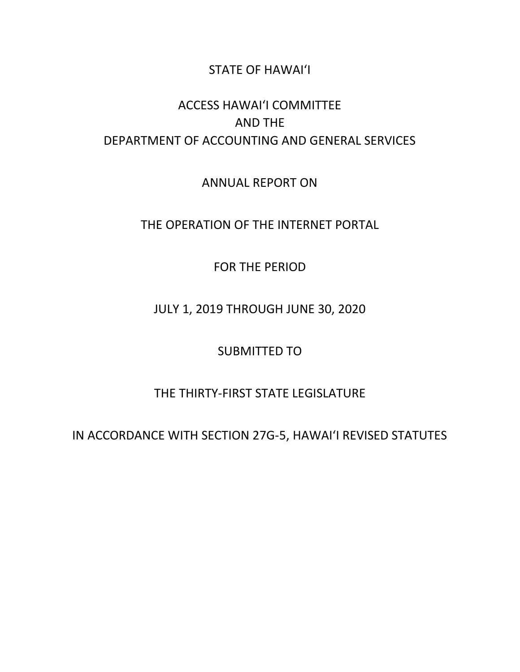### STATE OF HAWAI'I

### ACCESS HAWAI'I COMMITTEE AND THE DEPARTMENT OF ACCOUNTING AND GENERAL SERVICES

ANNUAL REPORT ON

THE OPERATION OF THE INTERNET PORTAL

FOR THE PERIOD

JULY 1, 2019 THROUGH JUNE 30, 2020

SUBMITTED TO

### THE THIRTY-FIRST STATE LEGISLATURE

IN ACCORDANCE WITH SECTION 27G-5, HAWAI'I REVISED STATUTES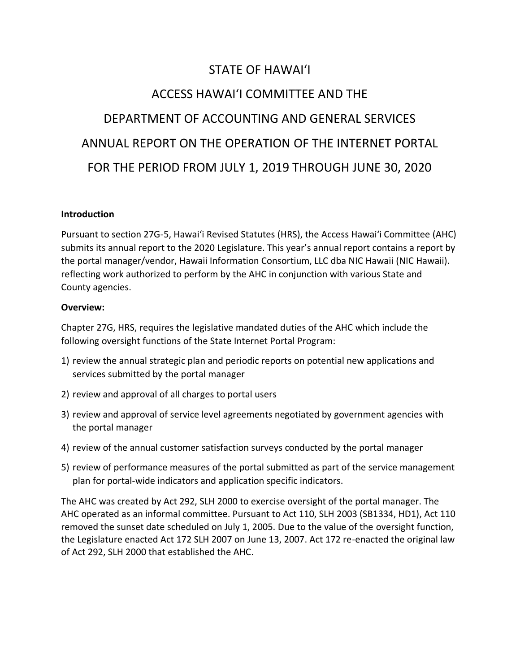### STATE OF HAWAI'I

## ACCESS HAWAI'I COMMITTEE AND THE DEPARTMENT OF ACCOUNTING AND GENERAL SERVICES ANNUAL REPORT ON THE OPERATION OF THE INTERNET PORTAL FOR THE PERIOD FROM JULY 1, 2019 THROUGH JUNE 30, 2020

#### **Introduction**

Pursuant to section 27G-5, Hawai'i Revised Statutes (HRS), the Access Hawai'i Committee (AHC) submits its annual report to the 2020 Legislature. This year's annual report contains a report by the portal manager/vendor, Hawaii Information Consortium, LLC dba NIC Hawaii (NIC Hawaii). reflecting work authorized to perform by the AHC in conjunction with various State and County agencies.

#### **Overview:**

Chapter 27G, HRS, requires the legislative mandated duties of the AHC which include the following oversight functions of the State Internet Portal Program:

- 1) review the annual strategic plan and periodic reports on potential new applications and services submitted by the portal manager
- 2) review and approval of all charges to portal users
- 3) review and approval of service level agreements negotiated by government agencies with the portal manager
- 4) review of the annual customer satisfaction surveys conducted by the portal manager
- 5) review of performance measures of the portal submitted as part of the service management plan for portal-wide indicators and application specific indicators.

The AHC was created by Act 292, SLH 2000 to exercise oversight of the portal manager. The AHC operated as an informal committee. Pursuant to Act 110, SLH 2003 (SB1334, HD1), Act 110 removed the sunset date scheduled on July 1, 2005. Due to the value of the oversight function, the Legislature enacted Act 172 SLH 2007 on June 13, 2007. Act 172 re-enacted the original law of Act 292, SLH 2000 that established the AHC.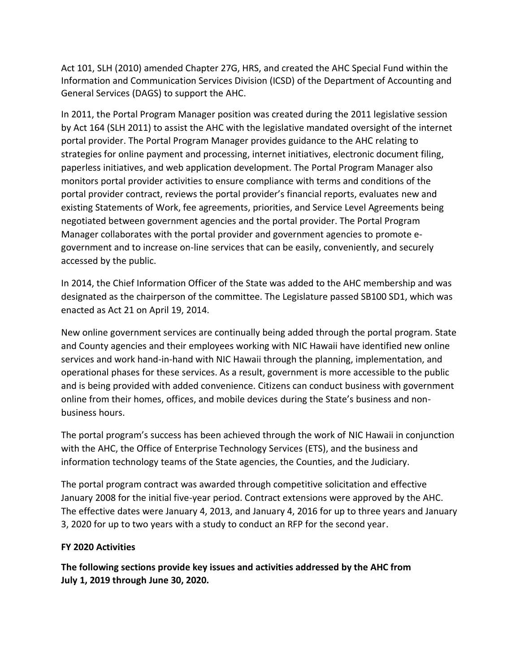Act 101, SLH (2010) amended Chapter 27G, HRS, and created the AHC Special Fund within the Information and Communication Services Division (ICSD) of the Department of Accounting and General Services (DAGS) to support the AHC.

In 2011, the Portal Program Manager position was created during the 2011 legislative session by Act 164 (SLH 2011) to assist the AHC with the legislative mandated oversight of the internet portal provider. The Portal Program Manager provides guidance to the AHC relating to strategies for online payment and processing, internet initiatives, electronic document filing, paperless initiatives, and web application development. The Portal Program Manager also monitors portal provider activities to ensure compliance with terms and conditions of the portal provider contract, reviews the portal provider's financial reports, evaluates new and existing Statements of Work, fee agreements, priorities, and Service Level Agreements being negotiated between government agencies and the portal provider. The Portal Program Manager collaborates with the portal provider and government agencies to promote egovernment and to increase on-line services that can be easily, conveniently, and securely accessed by the public.

In 2014, the Chief Information Officer of the State was added to the AHC membership and was designated as the chairperson of the committee. The Legislature passed SB100 SD1, which was enacted as Act 21 on April 19, 2014.

New online government services are continually being added through the portal program. State and County agencies and their employees working with NIC Hawaii have identified new online services and work hand-in-hand with NIC Hawaii through the planning, implementation, and operational phases for these services. As a result, government is more accessible to the public and is being provided with added convenience. Citizens can conduct business with government online from their homes, offices, and mobile devices during the State's business and nonbusiness hours.

The portal program's success has been achieved through the work of NIC Hawaii in conjunction with the AHC, the Office of Enterprise Technology Services (ETS), and the business and information technology teams of the State agencies, the Counties, and the Judiciary.

The portal program contract was awarded through competitive solicitation and effective January 2008 for the initial five-year period. Contract extensions were approved by the AHC. The effective dates were January 4, 2013, and January 4, 2016 for up to three years and January 3, 2020 for up to two years with a study to conduct an RFP for the second year.

#### **FY 2020 Activities**

**The following sections provide key issues and activities addressed by the AHC from July 1, 2019 through June 30, 2020.**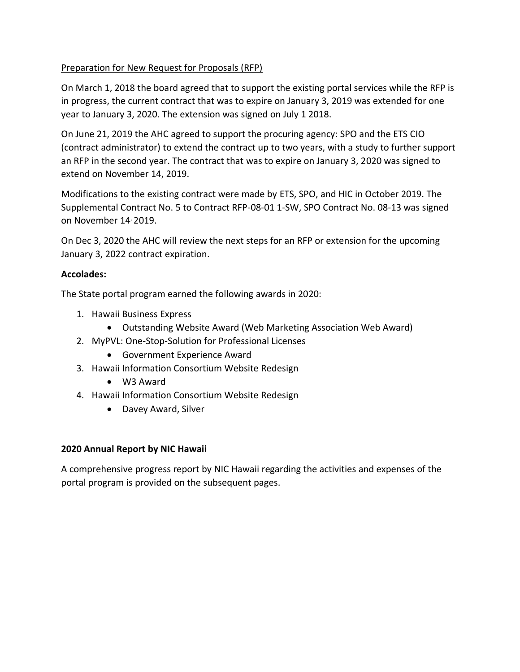#### Preparation for New Request for Proposals (RFP)

On March 1, 2018 the board agreed that to support the existing portal services while the RFP is in progress, the current contract that was to expire on January 3, 2019 was extended for one year to January 3, 2020. The extension was signed on July 1 2018.

On June 21, 2019 the AHC agreed to support the procuring agency: SPO and the ETS CIO (contract administrator) to extend the contract up to two years, with a study to further support an RFP in the second year. The contract that was to expire on January 3, 2020 was signed to extend on November 14, 2019.

Modifications to the existing contract were made by ETS, SPO, and HIC in October 2019. The Supplemental Contract No. 5 to Contract RFP-08-01 1-SW, SPO Contract No. 08-13 was signed on November 14, 2019.

On Dec 3, 2020 the AHC will review the next steps for an RFP or extension for the upcoming January 3, 2022 contract expiration.

#### **Accolades:**

The State portal program earned the following awards in 2020:

- 1. Hawaii Business Express
	- Outstanding Website Award (Web Marketing Association Web Award)
- 2. MyPVL: One-Stop-Solution for Professional Licenses
	- Government Experience Award
- 3. Hawaii Information Consortium Website Redesign
	- W3 Award
- 4. Hawaii Information Consortium Website Redesign
	- Davey Award, Silver

#### **2020 Annual Report by NIC Hawaii**

A comprehensive progress report by NIC Hawaii regarding the activities and expenses of the portal program is provided on the subsequent pages.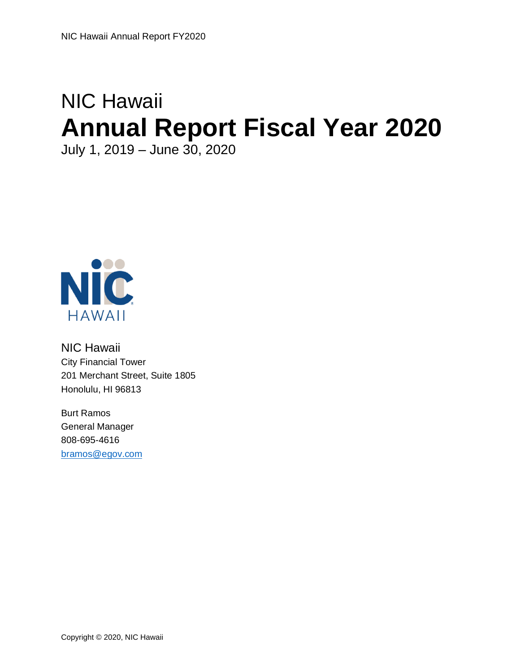# NIC Hawaii **Annual Report Fiscal Year 2020**

July 1, 2019 – June 30, 2020



NIC Hawaii City Financial Tower 201 Merchant Street, Suite 1805 Honolulu, HI 96813

Burt Ramos General Manager 808-695-4616 [bramos@egov.com](mailto:Bramos@egov.com)

Copyright © 2020, NIC Hawaii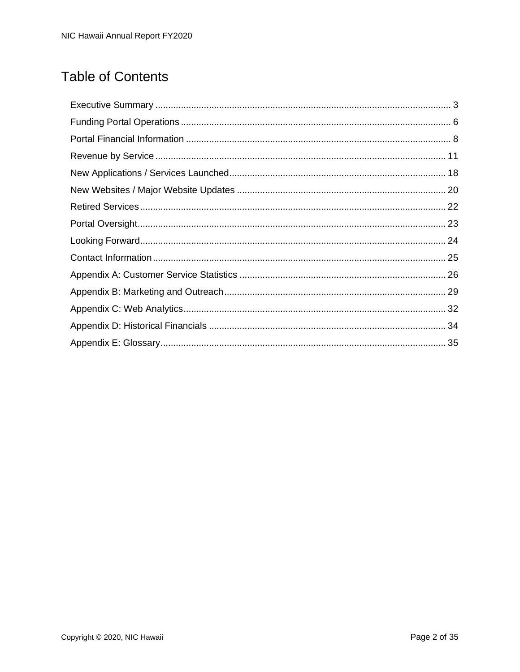### **Table of Contents**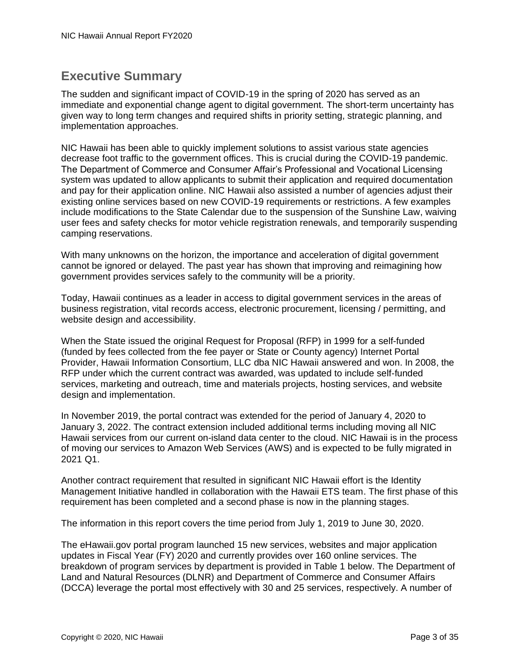### <span id="page-6-0"></span>**Executive Summary**

The sudden and significant impact of COVID-19 in the spring of 2020 has served as an immediate and exponential change agent to digital government. The short-term uncertainty has given way to long term changes and required shifts in priority setting, strategic planning, and implementation approaches.

NIC Hawaii has been able to quickly implement solutions to assist various state agencies decrease foot traffic to the government offices. This is crucial during the COVID-19 pandemic. The Department of Commerce and Consumer Affair's Professional and Vocational Licensing system was updated to allow applicants to submit their application and required documentation and pay for their application online. NIC Hawaii also assisted a number of agencies adjust their existing online services based on new COVID-19 requirements or restrictions. A few examples include modifications to the State Calendar due to the suspension of the Sunshine Law, waiving user fees and safety checks for motor vehicle registration renewals, and temporarily suspending camping reservations.

With many unknowns on the horizon, the importance and acceleration of digital government cannot be ignored or delayed. The past year has shown that improving and reimagining how government provides services safely to the community will be a priority.

Today, Hawaii continues as a leader in access to digital government services in the areas of business registration, vital records access, electronic procurement, licensing / permitting, and website design and accessibility.

When the State issued the original Request for Proposal (RFP) in 1999 for a self-funded (funded by fees collected from the fee payer or State or County agency) Internet Portal Provider, Hawaii Information Consortium, LLC dba NIC Hawaii answered and won. In 2008, the RFP under which the current contract was awarded, was updated to include self-funded services, marketing and outreach, time and materials projects, hosting services, and website design and implementation.

In November 2019, the portal contract was extended for the period of January 4, 2020 to January 3, 2022. The contract extension included additional terms including moving all NIC Hawaii services from our current on-island data center to the cloud. NIC Hawaii is in the process of moving our services to Amazon Web Services (AWS) and is expected to be fully migrated in 2021 Q1.

Another contract requirement that resulted in significant NIC Hawaii effort is the Identity Management Initiative handled in collaboration with the Hawaii ETS team. The first phase of this requirement has been completed and a second phase is now in the planning stages.

The information in this report covers the time period from July 1, 2019 to June 30, 2020.

The eHawaii.gov portal program launched 15 new services, websites and major application updates in Fiscal Year (FY) 2020 and currently provides over 160 online services. The breakdown of program services by department is provided in Table 1 below. The Department of Land and Natural Resources (DLNR) and Department of Commerce and Consumer Affairs (DCCA) leverage the portal most effectively with 30 and 25 services, respectively. A number of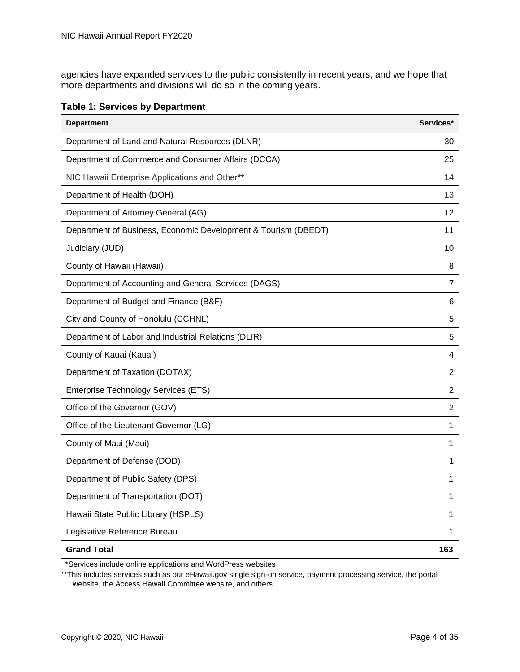agencies have expanded services to the public consistently in recent years, and we hope that more departments and divisions will do so in the coming years.

| <b>Department</b>                                              | Services* |
|----------------------------------------------------------------|-----------|
| Department of Land and Natural Resources (DLNR)                | 30        |
| Department of Commerce and Consumer Affairs (DCCA)             | 25        |
| NIC Hawaii Enterprise Applications and Other**                 | 14        |
| Department of Health (DOH)                                     | 13        |
| Department of Attorney General (AG)                            | 12        |
| Department of Business, Economic Development & Tourism (DBEDT) | 11        |
| Judiciary (JUD)                                                | 10        |
| County of Hawaii (Hawaii)                                      | 8         |
| Department of Accounting and General Services (DAGS)           | 7         |
| Department of Budget and Finance (B&F)                         | 6         |
| City and County of Honolulu (CCHNL)                            | 5         |
| Department of Labor and Industrial Relations (DLIR)            | 5         |
| County of Kauai (Kauai)                                        | 4         |
| Department of Taxation (DOTAX)                                 | 2         |
| Enterprise Technology Services (ETS)                           | 2         |
| Office of the Governor (GOV)                                   | 2         |
| Office of the Lieutenant Governor (LG)                         | 1         |
| County of Maui (Maui)                                          | 1         |
| Department of Defense (DOD)                                    | 1         |
| Department of Public Safety (DPS)                              | 1         |
| Department of Transportation (DOT)                             | 1         |
| Hawaii State Public Library (HSPLS)                            | 1         |
| Legislative Reference Bureau                                   | 1         |
| <b>Grand Total</b>                                             | 163       |

\*Services include online applications and WordPress websites

\*\*This includes services such as our eHawaii.gov single sign-on service, payment processing service, the portal website, the Access Hawaii Committee website, and others.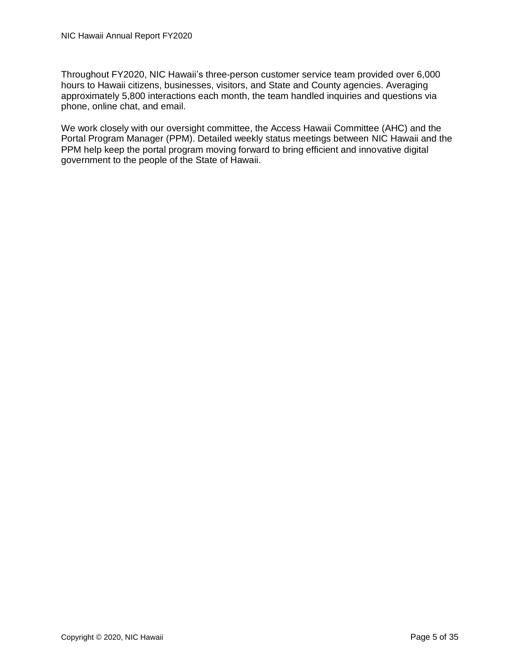Throughout FY2020, NIC Hawaii's three-person customer service team provided over 6,000 hours to Hawaii citizens, businesses, visitors, and State and County agencies. Averaging approximately 5,800 interactions each month, the team handled inquiries and questions via phone, online chat, and email.

We work closely with our oversight committee, the Access Hawaii Committee (AHC) and the Portal Program Manager (PPM). Detailed weekly status meetings between NIC Hawaii and the PPM help keep the portal program moving forward to bring efficient and innovative digital government to the people of the State of Hawaii.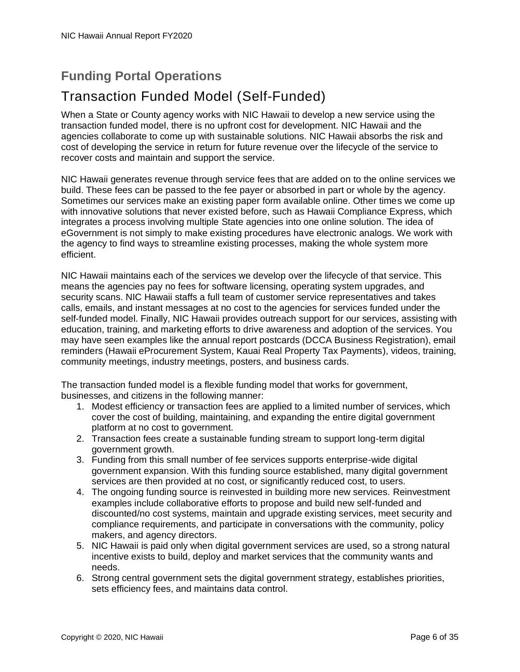### <span id="page-9-0"></span>**Funding Portal Operations**

### Transaction Funded Model (Self-Funded)

When a State or County agency works with NIC Hawaii to develop a new service using the transaction funded model, there is no upfront cost for development. NIC Hawaii and the agencies collaborate to come up with sustainable solutions. NIC Hawaii absorbs the risk and cost of developing the service in return for future revenue over the lifecycle of the service to recover costs and maintain and support the service.

NIC Hawaii generates revenue through service fees that are added on to the online services we build. These fees can be passed to the fee payer or absorbed in part or whole by the agency. Sometimes our services make an existing paper form available online. Other times we come up with innovative solutions that never existed before, such as Hawaii Compliance Express, which integrates a process involving multiple State agencies into one online solution. The idea of eGovernment is not simply to make existing procedures have electronic analogs. We work with the agency to find ways to streamline existing processes, making the whole system more efficient.

NIC Hawaii maintains each of the services we develop over the lifecycle of that service. This means the agencies pay no fees for software licensing, operating system upgrades, and security scans. NIC Hawaii staffs a full team of customer service representatives and takes calls, emails, and instant messages at no cost to the agencies for services funded under the self-funded model. Finally, NIC Hawaii provides outreach support for our services, assisting with education, training, and marketing efforts to drive awareness and adoption of the services. You may have seen examples like the annual report postcards (DCCA Business Registration), email reminders (Hawaii eProcurement System, Kauai Real Property Tax Payments), videos, training, community meetings, industry meetings, posters, and business cards.

The transaction funded model is a flexible funding model that works for government, businesses, and citizens in the following manner:

- 1. Modest efficiency or transaction fees are applied to a limited number of services, which cover the cost of building, maintaining, and expanding the entire digital government platform at no cost to government.
- 2. Transaction fees create a sustainable funding stream to support long-term digital government growth.
- 3. Funding from this small number of fee services supports enterprise-wide digital government expansion. With this funding source established, many digital government services are then provided at no cost, or significantly reduced cost, to users.
- 4. The ongoing funding source is reinvested in building more new services. Reinvestment examples include collaborative efforts to propose and build new self-funded and discounted/no cost systems, maintain and upgrade existing services, meet security and compliance requirements, and participate in conversations with the community, policy makers, and agency directors.
- 5. NIC Hawaii is paid only when digital government services are used, so a strong natural incentive exists to build, deploy and market services that the community wants and needs.
- 6. Strong central government sets the digital government strategy, establishes priorities, sets efficiency fees, and maintains data control.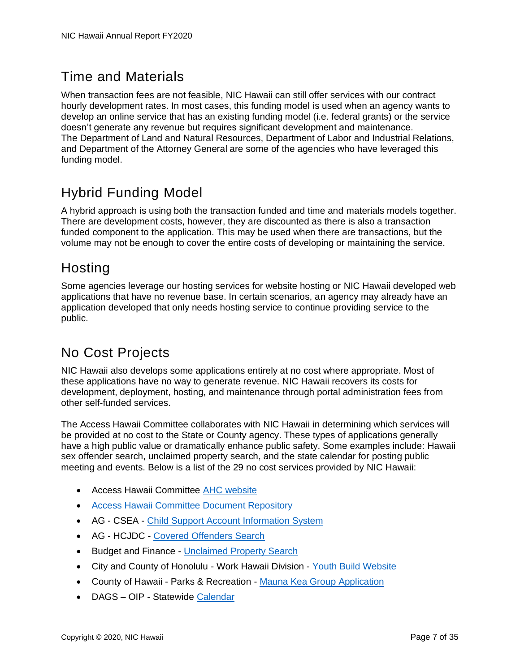### Time and Materials

When transaction fees are not feasible, NIC Hawaii can still offer services with our contract hourly development rates. In most cases, this funding model is used when an agency wants to develop an online service that has an existing funding model (i.e. federal grants) or the service doesn't generate any revenue but requires significant development and maintenance. The Department of Land and Natural Resources, Department of Labor and Industrial Relations, and Department of the Attorney General are some of the agencies who have leveraged this funding model.

### Hybrid Funding Model

A hybrid approach is using both the transaction funded and time and materials models together. There are development costs, however, they are discounted as there is also a transaction funded component to the application. This may be used when there are transactions, but the volume may not be enough to cover the entire costs of developing or maintaining the service.

### **Hosting**

Some agencies leverage our hosting services for website hosting or NIC Hawaii developed web applications that have no revenue base. In certain scenarios, an agency may already have an application developed that only needs hosting service to continue providing service to the public.

### No Cost Projects

NIC Hawaii also develops some applications entirely at no cost where appropriate. Most of these applications have no way to generate revenue. NIC Hawaii recovers its costs for development, deployment, hosting, and maintenance through portal administration fees from other self-funded services.

The Access Hawaii Committee collaborates with NIC Hawaii in determining which services will be provided at no cost to the State or County agency. These types of applications generally have a high public value or dramatically enhance public safety. Some examples include: Hawaii sex offender search, unclaimed property search, and the state calendar for posting public meeting and events. Below is a list of the 29 no cost services provided by NIC Hawaii:

- Access Hawaii Committee [AHC website](http://ahc.ehawaii.gov/)
- [Access Hawaii Committee Document Repository](https://ahcdocuments.ehawaii.gov/)
- AG CSEA [Child Support Account Information System](http://csea.ehawaii.gov/iwa)
- AG HCJDC [Covered Offenders Search](http://sexoffenders.ehawaii.gov/)
- Budget and Finance [Unclaimed Property Search](https://www.ehawaii.gov/lilo/app)
- City and County of Honolulu Work Hawaii Division [Youth Build Website](http://youthbuildhonolulu.org/)
- County of Hawaii Parks & Recreation [Mauna Kea Group Application](https://maunakea.ehawaii.gov/)
- DAGS OIP Statewide [Calendar](http://calendar.ehawaii.gov/)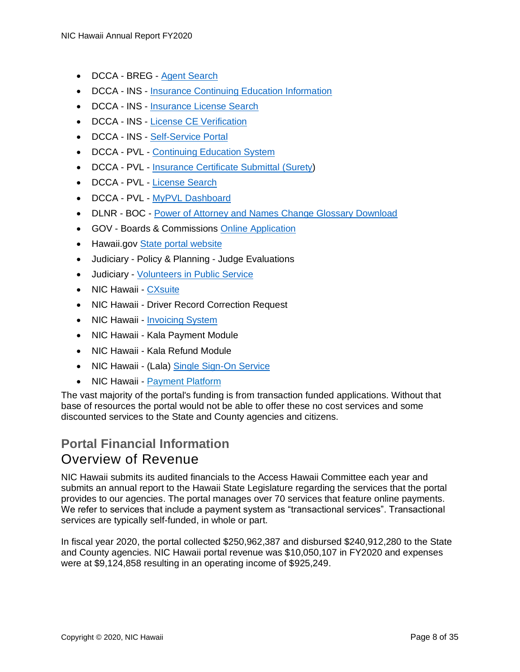- DCCA BREG [Agent Search](https://hbe.ehawaii.gov/agentsearch/search.html)
- DCCA INS [Insurance Continuing Education Information](https://www.ehawaii.gov/dcca/insprovider/exe/provider.cgi)
- DCCA INS [Insurance License Search](http://insurance.ehawaii.gov/hils/)
- DCCA INS [License CE Verification](https://www.ehawaii.gov/dcca/insce/exe/ce.cgi)
- DCCA INS [Self-Service Portal](https://insurance.ehawaii.gov/diss)
- DCCA PVL [Continuing Education System](https://ce.ehawaii.gov/)
- DCCA PVL [Insurance Certificate Submittal](http://pvl.ehawaii.gov/inikua) (Surety)
- DCCA PVL [License Search](https://pvl.ehawaii.gov/pvlsearch/)
- DCCA PVL [MyPVL Dashboard](https://pvl.ehawaii.gov/mypvl/)
- DLNR BOC [Power of Attorney and Names Change Glossary Download](https://www.ehawaii.gov/SecureDownload/bocglossary/)
- GOV Boards & Commissions [Online Application](http://boards.hawaii.gov/apply/apply-for-a-board/)
- Hawaii.gov [State portal website](http://hawaii.gov/)
- Judiciary Policy & Planning Judge Evaluations
- Judiciary [Volunteers in Public Service](http://vips.ehawaii.gov/vips)
- NIC Hawaii [CXsuite](https://cxsuite.ehawaii.gov/)
- NIC Hawaii Driver Record Correction Request
- NIC Hawaii [Invoicing System](https://invoice.ehawaii.gov/)
- NIC Hawaii Kala Payment Module
- NIC Hawaii Kala Refund Module
- NIC Hawaii (Lala) [Single Sign-On Service](https://login.ehawaii.gov/)
- NIC Hawaii [Payment Platform](https://nichawaii.egov.com/payment-platform/)

The vast majority of the portal's funding is from transaction funded applications. Without that base of resources the portal would not be able to offer these no cost services and some discounted services to the State and County agencies and citizens.

### <span id="page-11-0"></span>**Portal Financial Information** Overview of Revenue

NIC Hawaii submits its audited financials to the Access Hawaii Committee each year and submits an annual report to the Hawaii State Legislature regarding the services that the portal provides to our agencies. The portal manages over 70 services that feature online payments. We refer to services that include a payment system as "transactional services". Transactional services are typically self-funded, in whole or part.

In fiscal year 2020, the portal collected \$250,962,387 and disbursed \$240,912,280 to the State and County agencies. NIC Hawaii portal revenue was \$10,050,107 in FY2020 and expenses were at \$9,124,858 resulting in an operating income of \$925,249.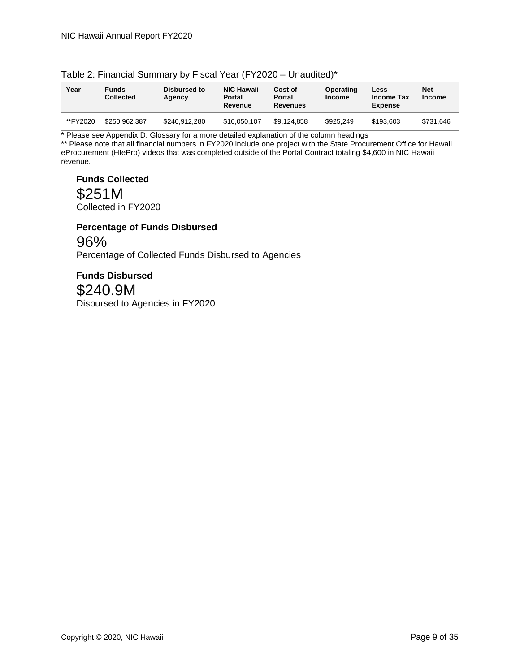| Year     | <b>Funds</b><br><b>Collected</b> | Disbursed to<br>Agency | <b>NIC Hawaii</b><br><b>Portal</b><br>Revenue | Cost of<br><b>Portal</b><br><b>Revenues</b> | Operating<br><b>Income</b> | Less<br>Income Tax<br><b>Expense</b> | <b>Net</b><br><b>Income</b> |
|----------|----------------------------------|------------------------|-----------------------------------------------|---------------------------------------------|----------------------------|--------------------------------------|-----------------------------|
| **FY2020 | \$250.962.387                    | \$240.912.280          | \$10.050.107                                  | \$9.124.858                                 | \$925.249                  | \$193,603                            | \$731.646                   |

#### Table 2: Financial Summary by Fiscal Year (FY2020 – Unaudited)\*

\* Please see Appendix D: Glossary for a more detailed explanation of the column headings

\*\* Please note that all financial numbers in FY2020 include one project with the State Procurement Office for Hawaii eProcurement (HIePro) videos that was completed outside of the Portal Contract totaling \$4,600 in NIC Hawaii revenue.

**Funds Collected** \$251M Collected in FY2020

**Percentage of Funds Disbursed** 96% Percentage of Collected Funds Disbursed to Agencies

**Funds Disbursed** \$240.9M Disbursed to Agencies in FY2020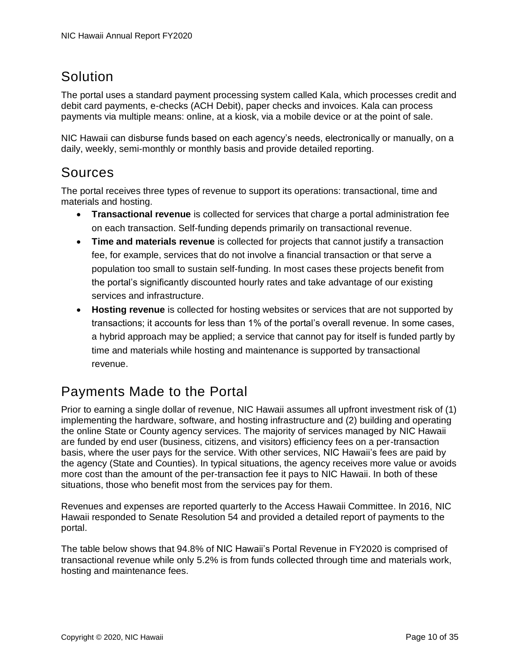### **Solution**

The portal uses a standard payment processing system called Kala, which processes credit and debit card payments, e-checks (ACH Debit), paper checks and invoices. Kala can process payments via multiple means: online, at a kiosk, via a mobile device or at the point of sale.

NIC Hawaii can disburse funds based on each agency's needs, electronically or manually, on a daily, weekly, semi-monthly or monthly basis and provide detailed reporting.

### Sources

The portal receives three types of revenue to support its operations: transactional, time and materials and hosting.

- **Transactional revenue** is collected for services that charge a portal administration fee on each transaction. Self-funding depends primarily on transactional revenue.
- **Time and materials revenue** is collected for projects that cannot justify a transaction fee, for example, services that do not involve a financial transaction or that serve a population too small to sustain self-funding. In most cases these projects benefit from the portal's significantly discounted hourly rates and take advantage of our existing services and infrastructure.
- **Hosting revenue** is collected for hosting websites or services that are not supported by transactions; it accounts for less than 1% of the portal's overall revenue. In some cases, a hybrid approach may be applied; a service that cannot pay for itself is funded partly by time and materials while hosting and maintenance is supported by transactional revenue.

### Payments Made to the Portal

Prior to earning a single dollar of revenue, NIC Hawaii assumes all upfront investment risk of (1) implementing the hardware, software, and hosting infrastructure and (2) building and operating the online State or County agency services. The majority of services managed by NIC Hawaii are funded by end user (business, citizens, and visitors) efficiency fees on a per-transaction basis, where the user pays for the service. With other services, NIC Hawaii's fees are paid by the agency (State and Counties). In typical situations, the agency receives more value or avoids more cost than the amount of the per-transaction fee it pays to NIC Hawaii. In both of these situations, those who benefit most from the services pay for them.

Revenues and expenses are reported quarterly to the Access Hawaii Committee. In 2016, NIC Hawaii responded to Senate Resolution 54 and provided a detailed report of payments to the portal.

The table below shows that 94.8% of NIC Hawaii's Portal Revenue in FY2020 is comprised of transactional revenue while only 5.2% is from funds collected through time and materials work, hosting and maintenance fees.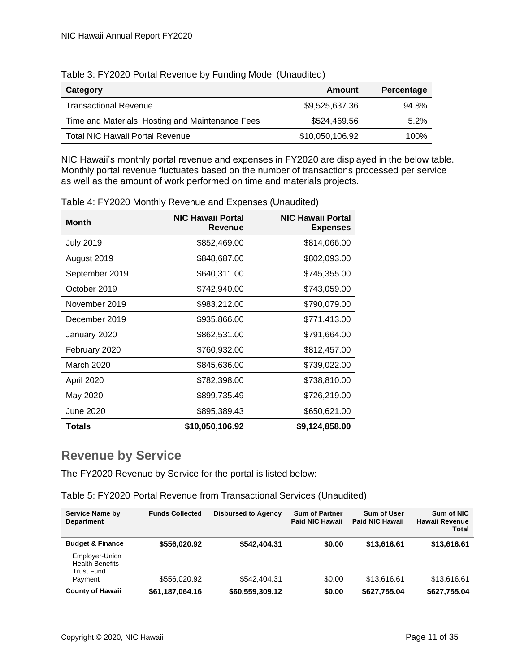| Category                                         | Amount          | Percentage |
|--------------------------------------------------|-----------------|------------|
| <b>Transactional Revenue</b>                     | \$9,525,637.36  | 94.8%      |
| Time and Materials, Hosting and Maintenance Fees | \$524,469.56    | 5.2%       |
| Total NIC Hawaii Portal Revenue                  | \$10,050,106.92 | 100%       |

Table 3: FY2020 Portal Revenue by Funding Model (Unaudited)

NIC Hawaii's monthly portal revenue and expenses in FY2020 are displayed in the below table. Monthly portal revenue fluctuates based on the number of transactions processed per service as well as the amount of work performed on time and materials projects.

| <b>Month</b>     | <b>NIC Hawaii Portal</b><br>Revenue | <b>NIC Hawaii Portal</b><br><b>Expenses</b> |
|------------------|-------------------------------------|---------------------------------------------|
| <b>July 2019</b> | \$852,469.00                        | \$814,066.00                                |
| August 2019      | \$848,687.00                        | \$802,093.00                                |
| September 2019   | \$640,311.00                        | \$745,355.00                                |
| October 2019     | \$742,940.00                        | \$743,059.00                                |
| November 2019    | \$983,212.00                        | \$790,079.00                                |
| December 2019    | \$935,866.00                        | \$771,413.00                                |
| January 2020     | \$862,531.00                        | \$791,664.00                                |
| February 2020    | \$760,932.00                        | \$812,457.00                                |
| March 2020       | \$845,636.00                        | \$739,022.00                                |
| April 2020       | \$782,398.00                        | \$738,810.00                                |
| May 2020         | \$899,735.49                        | \$726,219.00                                |
| June 2020        | \$895,389.43                        | \$650,621.00                                |
| <b>Totals</b>    | \$10,050,106.92                     | \$9,124,858.00                              |

Table 4: FY2020 Monthly Revenue and Expenses (Unaudited)

### <span id="page-14-0"></span>**Revenue by Service**

The FY2020 Revenue by Service for the portal is listed below:

Table 5: FY2020 Portal Revenue from Transactional Services (Unaudited)

| <b>Service Name by</b><br><b>Department</b>                       | <b>Funds Collected</b> | <b>Disbursed to Agency</b> | <b>Sum of Partner</b><br>Paid NIC Hawaii | <b>Sum of User</b><br><b>Paid NIC Hawaii</b> | Sum of NIC<br>Hawaii Revenue<br>Total |
|-------------------------------------------------------------------|------------------------|----------------------------|------------------------------------------|----------------------------------------------|---------------------------------------|
| <b>Budget &amp; Finance</b>                                       | \$556,020.92           | \$542,404.31               | \$0.00                                   | \$13,616.61                                  | \$13,616.61                           |
| Employer-Union<br><b>Health Benefits</b><br>Trust Fund<br>Payment | \$556,020.92           | \$542,404.31               | \$0.00                                   | \$13,616,61                                  | \$13.616.61                           |
| <b>County of Hawaii</b>                                           | \$61,187,064.16        | \$60,559,309.12            | \$0.00                                   | \$627,755.04                                 | \$627,755.04                          |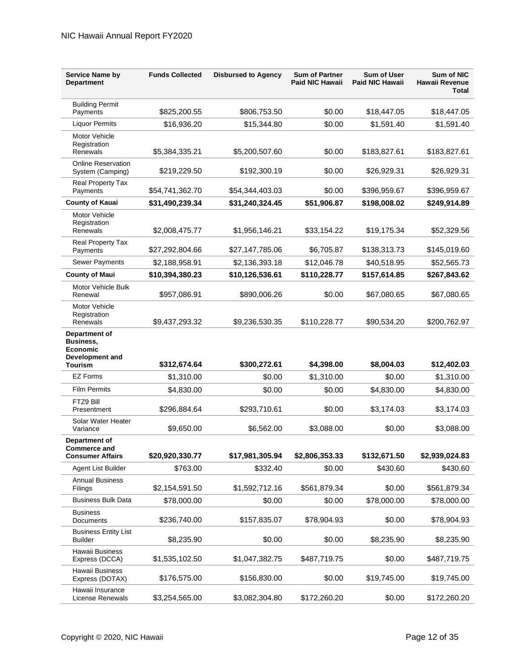| <b>Service Name by</b><br><b>Department</b>                            | <b>Funds Collected</b> | <b>Disbursed to Agency</b> | <b>Sum of Partner</b><br><b>Paid NIC Hawaii</b> | <b>Sum of User</b><br>Paid NIC Hawaii | <b>Sum of NIC</b><br>Hawaii Revenue<br><b>Total</b> |
|------------------------------------------------------------------------|------------------------|----------------------------|-------------------------------------------------|---------------------------------------|-----------------------------------------------------|
| <b>Building Permit</b><br>Payments                                     | \$825,200.55           | \$806,753.50               | \$0.00                                          | \$18,447.05                           | \$18,447.05                                         |
| <b>Liquor Permits</b>                                                  | \$16,936.20            | \$15,344.80                | \$0.00                                          | \$1,591.40                            | \$1,591.40                                          |
| Motor Vehicle<br>Registration<br>Renewals                              | \$5,384,335.21         | \$5,200,507.60             | \$0.00                                          | \$183,827.61                          | \$183,827.61                                        |
| <b>Online Reservation</b><br>System (Camping)                          | \$219,229.50           | \$192,300.19               | \$0.00                                          | \$26,929.31                           | \$26,929.31                                         |
| Real Property Tax<br>Payments                                          | \$54,741,362.70        | \$54,344,403.03            | \$0.00                                          | \$396,959.67                          | \$396,959.67                                        |
| <b>County of Kauai</b>                                                 | \$31,490,239.34        | \$31,240,324.45            | \$51,906.87                                     | \$198,008.02                          | \$249,914.89                                        |
| Motor Vehicle<br>Registration<br>Renewals                              | \$2,008,475.77         | \$1,956,146.21             | \$33,154.22                                     | \$19,175.34                           | \$52,329.56                                         |
| <b>Real Property Tax</b><br>Payments                                   | \$27,292,804.66        | \$27,147,785.06            | \$6,705.87                                      | \$138,313.73                          | \$145,019.60                                        |
| <b>Sewer Payments</b>                                                  | \$2,188,958.91         | \$2,136,393.18             | \$12,046.78                                     | \$40,518.95                           | \$52,565.73                                         |
| <b>County of Maui</b>                                                  | \$10,394,380.23        | \$10,126,536.61            | \$110,228.77                                    | \$157,614.85                          | \$267,843.62                                        |
| Motor Vehicle Bulk<br>Renewal                                          | \$957,086.91           | \$890,006.26               | \$0.00                                          | \$67,080.65                           | \$67,080.65                                         |
| Motor Vehicle<br>Registration<br>Renewals                              | \$9,437,293.32         | \$9,236,530.35             | \$110,228.77                                    | \$90,534.20                           | \$200,762.97                                        |
| Department of<br>Business,<br><b>Economic</b><br>Development and       |                        |                            |                                                 |                                       |                                                     |
| <b>Tourism</b><br><b>EZ Forms</b>                                      | \$312,674.64           | \$300,272.61               | \$4,398.00                                      | \$8,004.03                            | \$12,402.03                                         |
| <b>Film Permits</b>                                                    | \$1,310.00             | \$0.00                     | \$1,310.00                                      | \$0.00                                | \$1,310.00                                          |
| FTZ9 Bill                                                              | \$4,830.00             | \$0.00                     | \$0.00                                          | \$4,830.00                            | \$4,830.00                                          |
| Presentment                                                            | \$296,884.64           | \$293,710.61               | \$0.00                                          | \$3,174.03                            | \$3,174.03                                          |
| Solar Water Heater<br>Variance                                         | \$9,650.00             | \$6,562.00                 | \$3,088.00                                      | \$0.00                                | \$3,088.00                                          |
| <b>Department of</b><br><b>Commerce and</b><br><b>Consumer Affairs</b> | \$20,920,330.77        | \$17,981,305.94            | \$2,806,353.33                                  | \$132,671.50                          | \$2,939,024.83                                      |
| Agent List Builder                                                     | \$763.00               | \$332.40                   | \$0.00                                          | \$430.60                              | \$430.60                                            |
| <b>Annual Business</b><br>Filings                                      | \$2,154,591.50         | \$1,592,712.16             | \$561,879.34                                    | \$0.00                                | \$561,879.34                                        |
| <b>Business Bulk Data</b>                                              | \$78,000.00            | \$0.00                     | \$0.00                                          | \$78,000.00                           | \$78,000.00                                         |
| <b>Business</b><br>Documents                                           | \$236,740.00           | \$157,835.07               | \$78,904.93                                     | \$0.00                                | \$78,904.93                                         |
| <b>Business Entity List</b><br><b>Builder</b>                          | \$8,235.90             | \$0.00                     | \$0.00                                          | \$8,235.90                            | \$8,235.90                                          |
| Hawaii Business<br>Express (DCCA)                                      | \$1,535,102.50         | \$1,047,382.75             | \$487,719.75                                    | \$0.00                                | \$487,719.75                                        |
| Hawaii Business<br>Express (DOTAX)                                     | \$176,575.00           | \$156,830.00               | \$0.00                                          | \$19,745.00                           | \$19,745.00                                         |
| Hawaii Insurance<br>License Renewals                                   | \$3,254,565.00         | \$3,082,304.80             | \$172,260.20                                    | \$0.00                                | \$172,260.20                                        |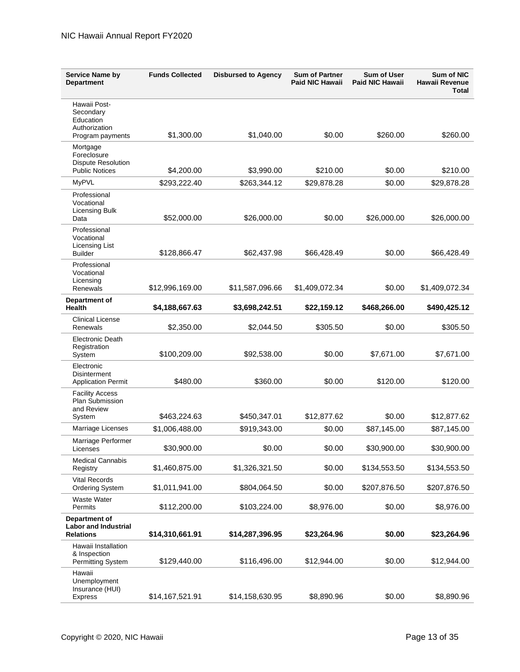| <b>Service Name by</b><br><b>Department</b>                              | <b>Funds Collected</b> | <b>Disbursed to Agency</b> | <b>Sum of Partner</b><br><b>Paid NIC Hawaii</b> | <b>Sum of User</b><br><b>Paid NIC Hawaii</b> | Sum of NIC<br>Hawaii Revenue<br>Total |
|--------------------------------------------------------------------------|------------------------|----------------------------|-------------------------------------------------|----------------------------------------------|---------------------------------------|
| Hawaii Post-<br>Secondary<br>Education<br>Authorization                  |                        |                            |                                                 |                                              |                                       |
| Program payments<br>Mortgage                                             | \$1,300.00             | \$1,040.00                 | \$0.00                                          | \$260.00                                     | \$260.00                              |
| Foreclosure<br><b>Dispute Resolution</b><br><b>Public Notices</b>        | \$4,200.00             | \$3,990.00                 | \$210.00                                        | \$0.00                                       | \$210.00                              |
| <b>MyPVL</b>                                                             | \$293,222.40           | \$263,344.12               | \$29,878.28                                     | \$0.00                                       | \$29,878.28                           |
| Professional<br>Vocational<br><b>Licensing Bulk</b>                      |                        |                            |                                                 |                                              |                                       |
| Data<br>Professional                                                     | \$52,000.00            | \$26,000.00                | \$0.00                                          | \$26,000.00                                  | \$26,000.00                           |
| Vocational<br>Licensing List<br><b>Builder</b>                           | \$128,866.47           | \$62,437.98                | \$66,428.49                                     | \$0.00                                       | \$66,428.49                           |
| Professional<br>Vocational<br>Licensing                                  |                        |                            |                                                 |                                              |                                       |
| Renewals                                                                 | \$12,996,169.00        | \$11,587,096.66            | \$1,409,072.34                                  | \$0.00                                       | \$1,409,072.34                        |
| Department of<br>Health                                                  | \$4,188,667.63         | \$3,698,242.51             | \$22,159.12                                     | \$468,266.00                                 | \$490,425.12                          |
| <b>Clinical License</b><br>Renewals                                      | \$2,350.00             | \$2,044.50                 | \$305.50                                        | \$0.00                                       | \$305.50                              |
| Electronic Death<br>Registration<br>System                               | \$100,209.00           | \$92,538.00                | \$0.00                                          | \$7,671.00                                   | \$7,671.00                            |
| Electronic<br>Disinterment<br><b>Application Permit</b>                  | \$480.00               | \$360.00                   | \$0.00                                          | \$120.00                                     | \$120.00                              |
| <b>Facility Access</b><br><b>Plan Submission</b><br>and Review<br>System | \$463,224.63           | \$450,347.01               | \$12,877.62                                     | \$0.00                                       | \$12,877.62                           |
| Marriage Licenses                                                        | \$1,006,488.00         | \$919,343.00               | \$0.00                                          | \$87,145.00                                  | \$87,145.00                           |
| Marriage Performer<br>Licenses                                           | \$30,900.00            | \$0.00                     | \$0.00                                          | \$30,900.00                                  | \$30,900.00                           |
| <b>Medical Cannabis</b><br>Registry                                      | \$1,460,875.00         | \$1,326,321.50             | \$0.00                                          | \$134,553.50                                 | \$134,553.50                          |
| <b>Vital Records</b><br><b>Ordering System</b>                           | \$1,011,941.00         | \$804,064.50               | \$0.00                                          | \$207,876.50                                 | \$207,876.50                          |
| <b>Waste Water</b><br>Permits                                            | \$112,200.00           | \$103,224.00               | \$8,976.00                                      | \$0.00                                       | \$8,976.00                            |
| Department of<br><b>Labor and Industrial</b><br><b>Relations</b>         | \$14,310,661.91        | \$14,287,396.95            | \$23,264.96                                     | \$0.00                                       | \$23,264.96                           |
| Hawaii Installation<br>& Inspection<br>Permitting System                 | \$129,440.00           | \$116,496.00               | \$12,944.00                                     | \$0.00                                       | \$12,944.00                           |
| Hawaii<br>Unemployment<br>Insurance (HUI)<br><b>Express</b>              | \$14,167,521.91        | \$14,158,630.95            | \$8,890.96                                      | \$0.00                                       | \$8,890.96                            |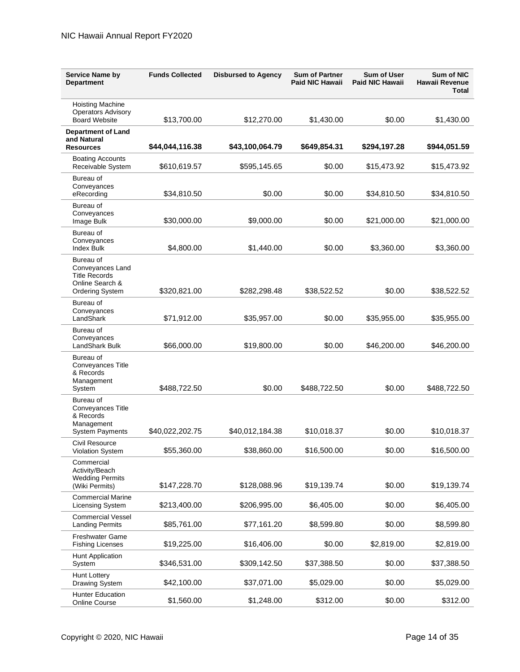| <b>Service Name by</b><br><b>Department</b>                                | <b>Funds Collected</b> | <b>Disbursed to Agency</b> | <b>Sum of Partner</b><br><b>Paid NIC Hawaii</b> | Sum of User<br><b>Paid NIC Hawaii</b> | <b>Sum of NIC</b><br>Hawaii Revenue<br><b>Total</b> |
|----------------------------------------------------------------------------|------------------------|----------------------------|-------------------------------------------------|---------------------------------------|-----------------------------------------------------|
| <b>Hoisting Machine</b><br><b>Operators Advisory</b>                       |                        |                            |                                                 |                                       |                                                     |
| <b>Board Website</b><br><b>Department of Land</b>                          | \$13,700.00            | \$12,270.00                | \$1,430.00                                      | \$0.00                                | \$1,430.00                                          |
| and Natural<br><b>Resources</b>                                            | \$44,044,116.38        | \$43,100,064.79            | \$649,854.31                                    | \$294,197.28                          | \$944,051.59                                        |
| <b>Boating Accounts</b><br>Receivable System                               | \$610,619.57           | \$595,145.65               | \$0.00                                          | \$15,473.92                           | \$15,473.92                                         |
| Bureau of<br>Conveyances<br>eRecording                                     | \$34,810.50            | \$0.00                     | \$0.00                                          | \$34,810.50                           | \$34,810.50                                         |
| Bureau of<br>Conveyances<br>Image Bulk                                     | \$30,000.00            | \$9,000.00                 | \$0.00                                          | \$21,000.00                           | \$21,000.00                                         |
| Bureau of<br>Conveyances<br><b>Index Bulk</b>                              | \$4,800.00             | \$1,440.00                 | \$0.00                                          | \$3,360.00                            | \$3,360.00                                          |
| Bureau of<br>Conveyances Land<br><b>Title Records</b><br>Online Search &   |                        |                            |                                                 |                                       |                                                     |
| Ordering System<br>Bureau of                                               | \$320,821.00           | \$282,298.48               | \$38,522.52                                     | \$0.00                                | \$38,522.52                                         |
| Conveyances<br>LandShark                                                   | \$71,912.00            | \$35,957.00                | \$0.00                                          | \$35,955.00                           | \$35,955.00                                         |
| Bureau of<br>Conveyances<br>LandShark Bulk                                 | \$66,000.00            | \$19,800.00                | \$0.00                                          | \$46,200.00                           | \$46,200.00                                         |
| Bureau of<br><b>Conveyances Title</b><br>& Records<br>Management<br>System | \$488,722.50           | \$0.00                     | \$488,722.50                                    | \$0.00                                | \$488,722.50                                        |
| Bureau of<br><b>Conveyances Title</b><br>& Records                         |                        |                            |                                                 |                                       |                                                     |
| Management<br><b>System Payments</b>                                       | \$40,022,202.75        | \$40,012,184.38            | \$10,018.37                                     | \$0.00                                | \$10,018.37                                         |
| Civil Resource<br>Violation System                                         | \$55,360.00            | \$38,860.00                | \$16,500.00                                     | \$0.00                                | \$16,500.00                                         |
| Commercial<br>Activity/Beach<br><b>Wedding Permits</b>                     |                        |                            |                                                 |                                       |                                                     |
| (Wiki Permits)<br><b>Commercial Marine</b>                                 | \$147,228.70           | \$128,088.96               | \$19,139.74                                     | \$0.00                                | \$19,139.74                                         |
| Licensing System                                                           | \$213,400.00           | \$206,995.00               | \$6,405.00                                      | \$0.00                                | \$6,405.00                                          |
| <b>Commercial Vessel</b><br><b>Landing Permits</b>                         | \$85,761.00            | \$77,161.20                | \$8,599.80                                      | \$0.00                                | \$8,599.80                                          |
| <b>Freshwater Game</b><br><b>Fishing Licenses</b>                          | \$19,225.00            | \$16,406.00                | \$0.00                                          | \$2,819.00                            | \$2,819.00                                          |
| Hunt Application<br>System                                                 | \$346,531.00           | \$309,142.50               | \$37,388.50                                     | \$0.00                                | \$37,388.50                                         |
| <b>Hunt Lottery</b><br>Drawing System                                      | \$42,100.00            | \$37,071.00                | \$5,029.00                                      | \$0.00                                | \$5,029.00                                          |
| <b>Hunter Education</b><br>Online Course                                   | \$1,560.00             | \$1,248.00                 | \$312.00                                        | \$0.00                                | \$312.00                                            |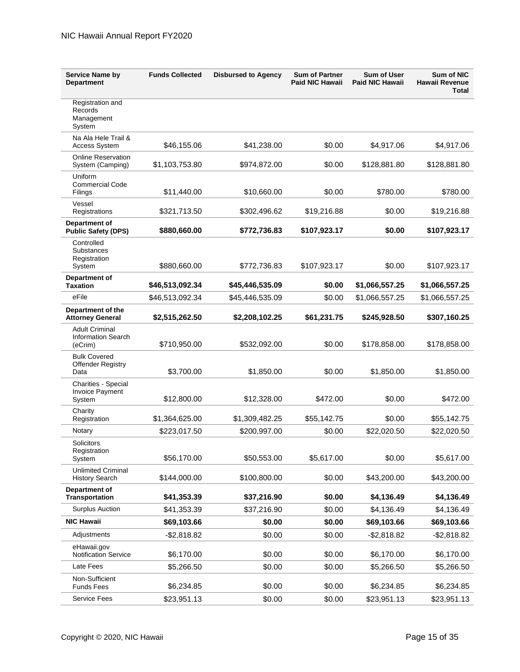| <b>Service Name by</b><br><b>Department</b>                   | <b>Funds Collected</b> | <b>Disbursed to Agency</b> | <b>Sum of Partner</b><br><b>Paid NIC Hawaii</b> | Sum of User<br><b>Paid NIC Hawaii</b> | <b>Sum of NIC</b><br>Hawaii Revenue<br><b>Total</b> |
|---------------------------------------------------------------|------------------------|----------------------------|-------------------------------------------------|---------------------------------------|-----------------------------------------------------|
| Registration and<br>Records<br>Management<br>System           |                        |                            |                                                 |                                       |                                                     |
| Na Ala Hele Trail &<br><b>Access System</b>                   | \$46,155.06            | \$41,238.00                | \$0.00                                          | \$4,917.06                            | \$4,917.06                                          |
| <b>Online Reservation</b><br>System (Camping)                 | \$1,103,753.80         | \$974,872.00               | \$0.00                                          | \$128,881.80                          | \$128,881.80                                        |
| Uniform<br><b>Commercial Code</b><br>Filings                  | \$11,440.00            | \$10,660.00                | \$0.00                                          | \$780.00                              | \$780.00                                            |
| Vessel<br>Registrations                                       | \$321,713.50           | \$302,496.62               | \$19,216.88                                     | \$0.00                                | \$19,216.88                                         |
| Department of<br><b>Public Safety (DPS)</b>                   | \$880,660.00           | \$772,736.83               | \$107,923.17                                    | \$0.00                                | \$107,923.17                                        |
| Controlled<br><b>Substances</b><br>Registration<br>System     | \$880,660.00           | \$772,736.83               | \$107,923.17                                    | \$0.00                                | \$107,923.17                                        |
| Department of<br><b>Taxation</b>                              | \$46,513,092.34        | \$45,446,535.09            | \$0.00                                          | \$1,066,557.25                        | \$1,066,557.25                                      |
| eFile                                                         | \$46,513,092.34        | \$45,446,535.09            | \$0.00                                          | \$1,066,557.25                        | \$1,066,557.25                                      |
| Department of the<br><b>Attorney General</b>                  | \$2,515,262.50         | \$2,208,102.25             | \$61,231.75                                     | \$245,928.50                          | \$307,160.25                                        |
| <b>Adult Criminal</b><br><b>Information Search</b><br>(eCrim) | \$710,950.00           | \$532,092.00               | \$0.00                                          | \$178,858.00                          | \$178,858.00                                        |
| <b>Bulk Covered</b><br>Offender Registry<br>Data              | \$3,700.00             | \$1,850.00                 | \$0.00                                          | \$1,850.00                            | \$1,850.00                                          |
| <b>Charities - Special</b><br>Invoice Payment<br>System       | \$12,800.00            | \$12,328.00                | \$472.00                                        | \$0.00                                | \$472.00                                            |
| Charity<br>Registration                                       | \$1,364,625.00         | \$1,309,482.25             | \$55,142.75                                     | \$0.00                                | \$55,142.75                                         |
| Notary                                                        | \$223,017.50           | \$200,997.00               | \$0.00                                          | \$22,020.50                           | \$22,020.50                                         |
| Solicitors<br>Registration<br>System                          | \$56,170.00            | \$50,553.00                | \$5,617.00                                      | \$0.00                                | \$5,617.00                                          |
| <b>Unlimited Criminal</b><br><b>History Search</b>            | \$144,000.00           | \$100,800.00               | \$0.00                                          | \$43,200.00                           | \$43,200.00                                         |
| Department of<br><b>Transportation</b>                        | \$41,353.39            | \$37,216.90                | \$0.00                                          | \$4,136.49                            | \$4,136.49                                          |
| <b>Surplus Auction</b>                                        | \$41,353.39            | \$37,216.90                | \$0.00                                          | \$4,136.49                            | \$4,136.49                                          |
| <b>NIC Hawaii</b>                                             | \$69,103.66            | \$0.00                     | \$0.00                                          | \$69,103.66                           | \$69,103.66                                         |
| Adjustments                                                   | $-$ \$2,818.82         | \$0.00                     | \$0.00                                          | $-$2,818.82$                          | $-$2,818.82$                                        |
| eHawaii.gov<br><b>Notification Service</b>                    | \$6,170.00             | \$0.00                     | \$0.00                                          | \$6,170.00                            | \$6,170.00                                          |
| Late Fees                                                     | \$5,266.50             | \$0.00                     | \$0.00                                          | \$5,266.50                            | \$5,266.50                                          |
| Non-Sufficient<br><b>Funds Fees</b>                           | \$6,234.85             | \$0.00                     | \$0.00                                          | \$6,234.85                            | \$6,234.85                                          |
| <b>Service Fees</b>                                           | \$23,951.13            | \$0.00                     | \$0.00                                          | \$23,951.13                           | \$23,951.13                                         |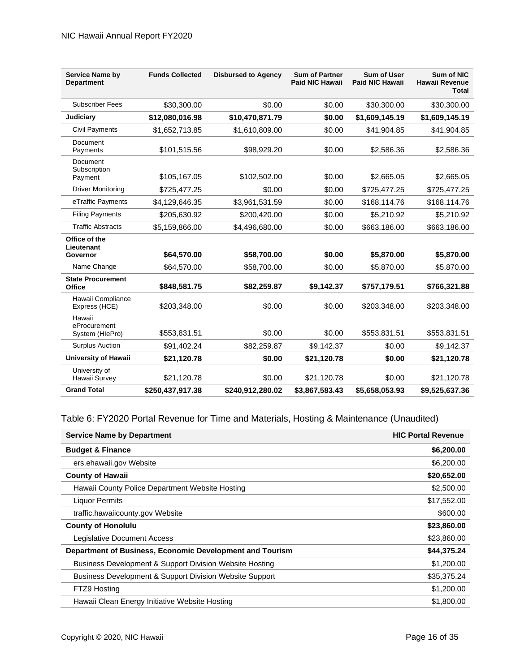| <b>Service Name by</b><br><b>Department</b> | <b>Funds Collected</b> | <b>Disbursed to Agency</b> | <b>Sum of Partner</b><br><b>Paid NIC Hawaii</b> | <b>Sum of User</b><br><b>Paid NIC Hawaii</b> | <b>Sum of NIC</b><br><b>Hawaii Revenue</b><br><b>Total</b> |
|---------------------------------------------|------------------------|----------------------------|-------------------------------------------------|----------------------------------------------|------------------------------------------------------------|
| <b>Subscriber Fees</b>                      | \$30,300,00            | \$0.00                     | \$0.00                                          | \$30,300.00                                  | \$30,300.00                                                |
| Judiciary                                   | \$12,080,016.98        | \$10,470,871.79            | \$0.00                                          | \$1,609,145.19                               | \$1,609,145.19                                             |
| <b>Civil Payments</b>                       | \$1,652,713.85         | \$1,610,809.00             | \$0.00                                          | \$41,904.85                                  | \$41,904.85                                                |
| Document<br>Payments                        | \$101,515.56           | \$98,929.20                | \$0.00                                          | \$2,586.36                                   | \$2,586.36                                                 |
| Document<br>Subscription<br>Payment         | \$105,167.05           | \$102,502.00               | \$0.00                                          | \$2,665.05                                   | \$2,665.05                                                 |
| <b>Driver Monitoring</b>                    | \$725,477.25           | \$0.00                     | \$0.00                                          | \$725,477.25                                 | \$725,477.25                                               |
| eTraffic Payments                           | \$4,129,646.35         | \$3,961,531.59             | \$0.00                                          | \$168,114.76                                 | \$168,114.76                                               |
| <b>Filing Payments</b>                      | \$205,630.92           | \$200,420.00               | \$0.00                                          | \$5,210.92                                   | \$5,210.92                                                 |
| <b>Traffic Abstracts</b>                    | \$5,159,866.00         | \$4,496,680.00             | \$0.00                                          | \$663,186.00                                 | \$663,186.00                                               |
| Office of the<br>Lieutenant<br>Governor     | \$64,570.00            | \$58,700.00                | \$0.00                                          | \$5,870.00                                   | \$5,870.00                                                 |
| Name Change                                 | \$64,570.00            | \$58,700.00                | \$0.00                                          | \$5,870.00                                   | \$5,870.00                                                 |
| <b>State Procurement</b><br><b>Office</b>   | \$848,581.75           | \$82,259.87                | \$9,142.37                                      | \$757,179.51                                 | \$766,321.88                                               |
| Hawaii Compliance<br>Express (HCE)          | \$203,348.00           | \$0.00                     | \$0.00                                          | \$203,348.00                                 | \$203,348.00                                               |
| Hawaii<br>eProcurement<br>System (HIePro)   | \$553,831.51           | \$0.00                     | \$0.00                                          | \$553,831.51                                 | \$553,831.51                                               |
| <b>Surplus Auction</b>                      | \$91,402.24            | \$82,259.87                | \$9,142.37                                      | \$0.00                                       | \$9,142.37                                                 |
| University of Hawaii                        | \$21,120.78            | \$0.00                     | \$21,120.78                                     | \$0.00                                       | \$21,120.78                                                |
| University of<br>Hawaii Survey              | \$21,120.78            | \$0.00                     | \$21,120.78                                     | \$0.00                                       | \$21,120.78                                                |
| <b>Grand Total</b>                          | \$250,437,917.38       | \$240,912,280.02           | \$3,867,583.43                                  | \$5,658,053.93                               | \$9,525,637.36                                             |

#### Table 6: FY2020 Portal Revenue for Time and Materials, Hosting & Maintenance (Unaudited)

| <b>Service Name by Department</b>                                  | <b>HIC Portal Revenue</b> |
|--------------------------------------------------------------------|---------------------------|
| <b>Budget &amp; Finance</b>                                        | \$6,200.00                |
| ers.ehawaii.gov Website                                            | \$6,200.00                |
| <b>County of Hawaii</b>                                            | \$20,652.00               |
| Hawaii County Police Department Website Hosting                    | \$2,500.00                |
| <b>Liquor Permits</b>                                              | \$17,552.00               |
| traffic.hawaiicounty.gov Website                                   | \$600.00                  |
| <b>County of Honolulu</b>                                          | \$23,860.00               |
| Legislative Document Access                                        | \$23,860.00               |
| Department of Business, Economic Development and Tourism           | \$44,375.24               |
| <b>Business Development &amp; Support Division Website Hosting</b> | \$1,200.00                |
| Business Development & Support Division Website Support            | \$35,375.24               |
| FTZ9 Hosting                                                       | \$1,200.00                |
| Hawaii Clean Energy Initiative Website Hosting                     | \$1,800.00                |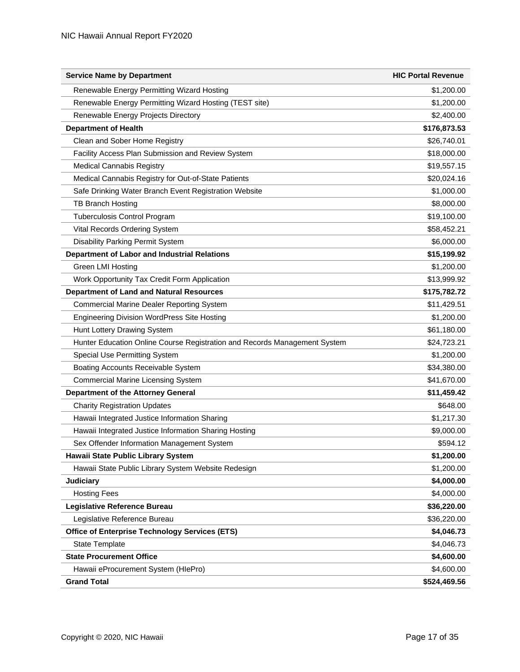| <b>Service Name by Department</b>                                         | <b>HIC Portal Revenue</b> |
|---------------------------------------------------------------------------|---------------------------|
| Renewable Energy Permitting Wizard Hosting                                | \$1,200.00                |
| Renewable Energy Permitting Wizard Hosting (TEST site)                    | \$1,200.00                |
| Renewable Energy Projects Directory                                       | \$2,400.00                |
| <b>Department of Health</b>                                               | \$176,873.53              |
| Clean and Sober Home Registry                                             | \$26,740.01               |
| Facility Access Plan Submission and Review System                         | \$18,000.00               |
| <b>Medical Cannabis Registry</b>                                          | \$19,557.15               |
| Medical Cannabis Registry for Out-of-State Patients                       | \$20,024.16               |
| Safe Drinking Water Branch Event Registration Website                     | \$1,000.00                |
| <b>TB Branch Hosting</b>                                                  | \$8,000.00                |
| <b>Tuberculosis Control Program</b>                                       | \$19,100.00               |
| Vital Records Ordering System                                             | \$58,452.21               |
| Disability Parking Permit System                                          | \$6,000.00                |
| <b>Department of Labor and Industrial Relations</b>                       | \$15,199.92               |
| Green LMI Hosting                                                         | \$1,200.00                |
| Work Opportunity Tax Credit Form Application                              | \$13,999.92               |
| <b>Department of Land and Natural Resources</b>                           | \$175,782.72              |
| <b>Commercial Marine Dealer Reporting System</b>                          | \$11,429.51               |
| <b>Engineering Division WordPress Site Hosting</b>                        | \$1,200.00                |
| Hunt Lottery Drawing System                                               | \$61,180.00               |
| Hunter Education Online Course Registration and Records Management System | \$24,723.21               |
| Special Use Permitting System                                             | \$1,200.00                |
| Boating Accounts Receivable System                                        | \$34,380.00               |
| <b>Commercial Marine Licensing System</b>                                 | \$41,670.00               |
| <b>Department of the Attorney General</b>                                 | \$11,459.42               |
| <b>Charity Registration Updates</b>                                       | \$648.00                  |
| Hawaii Integrated Justice Information Sharing                             | \$1,217.30                |
| Hawaii Integrated Justice Information Sharing Hosting                     | \$9,000.00                |
| Sex Offender Information Management System                                | \$594.12                  |
| <b>Hawaii State Public Library System</b>                                 | \$1,200.00                |
| Hawaii State Public Library System Website Redesign                       | \$1,200.00                |
| Judiciary                                                                 | \$4,000.00                |
| <b>Hosting Fees</b>                                                       | \$4,000.00                |
| <b>Legislative Reference Bureau</b>                                       | \$36,220.00               |
| Legislative Reference Bureau                                              | \$36,220.00               |
| <b>Office of Enterprise Technology Services (ETS)</b>                     | \$4,046.73                |
| State Template                                                            | \$4,046.73                |
| <b>State Procurement Office</b>                                           | \$4,600.00                |
| Hawaii eProcurement System (HIePro)                                       | \$4,600.00                |
| <b>Grand Total</b>                                                        | \$524,469.56              |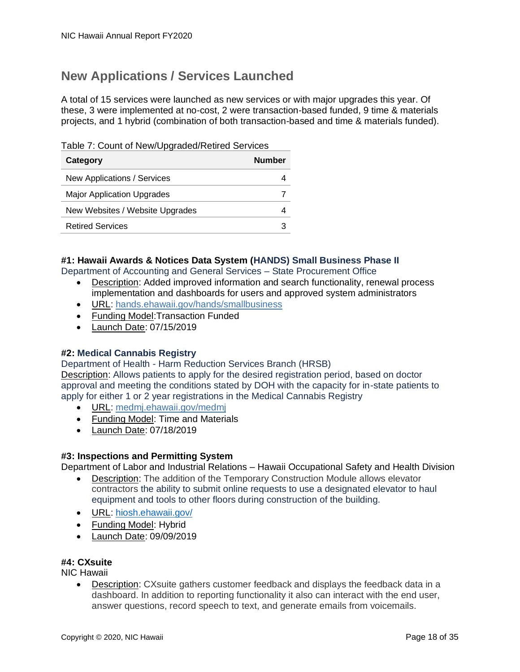### <span id="page-21-0"></span>**New Applications / Services Launched**

A total of 15 services were launched as new services or with major upgrades this year. Of these, 3 were implemented at no-cost, 2 were transaction-based funded, 9 time & materials projects, and 1 hybrid (combination of both transaction-based and time & materials funded).

Table 7: Count of New/Upgraded/Retired Services

| Category                          | Number |
|-----------------------------------|--------|
| New Applications / Services       |        |
| <b>Major Application Upgrades</b> |        |
| New Websites / Website Upgrades   |        |
| <b>Retired Services</b>           |        |

#### **#1: Hawaii Awards & Notices Data System (HANDS) Small Business Phase II**

Department of Accounting and General Services – State Procurement Office

- Description: Added improved information and search functionality, renewal process implementation and dashboards for users and approved system administrators
- URL: [hands.ehawaii.gov/hands/smallbusiness](https://hands.ehawaii.gov/hands/smallbusiness)
- Funding Model:Transaction Funded
- Launch Date: 07/15/2019

#### **#2: Medical Cannabis Registry**

Department of Health - Harm Reduction Services Branch (HRSB) Description: Allows patients to apply for the desired registration period, based on doctor approval and meeting the conditions stated by DOH with the capacity for in-state patients to apply for either 1 or 2 year registrations in the Medical Cannabis Registry

- URL: [medmj.ehawaii.gov/medmj](https://medmj.ehawaii.gov/medmj/welcome)
- Funding Model: Time and Materials
- Launch Date: 07/18/2019

#### **#3: Inspections and Permitting System**

Department of Labor and Industrial Relations – Hawaii Occupational Safety and Health Division

- Description: The addition of the Temporary Construction Module allows elevator contractors the ability to submit online requests to use a designated elevator to haul equipment and tools to other floors during construction of the building.
- URL: [hiosh.ehawaii.gov/](https://hiosh.ehawaii.gov/)
- Funding Model: Hybrid
- Launch Date: 09/09/2019

#### **#4: CXsuite**

NIC Hawaii

• Description: CXsuite gathers customer feedback and displays the feedback data in a dashboard. In addition to reporting functionality it also can interact with the end user, answer questions, record speech to text, and generate emails from voicemails.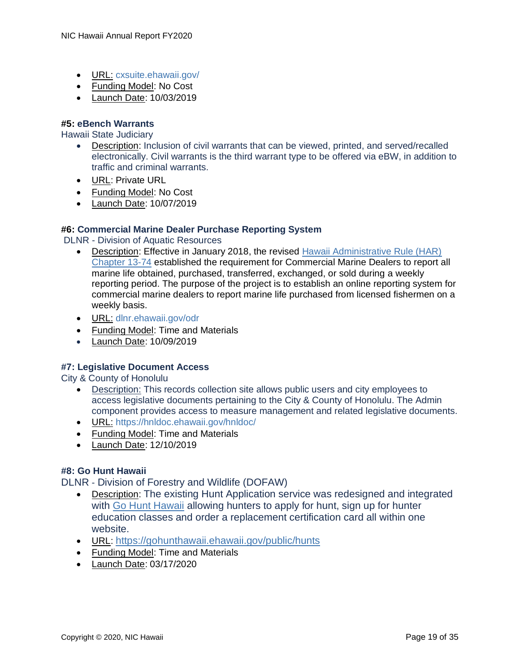- URL: [cxsuite.ehawaii.gov/](https://cxsuite.ehawaii.gov/)
- Funding Model: No Cost
- Launch Date: 10/03/2019

#### **#5: eBench Warrants**

Hawaii State Judiciary

- Description: Inclusion of civil warrants that can be viewed, printed, and served/recalled electronically. Civil warrants is the third warrant type to be offered via eBW, in addition to traffic and criminal warrants.
- URL: Private URL
- Funding Model: No Cost
- Launch Date: 10/07/2019

#### **#6: Commercial Marine Dealer Purchase Reporting System**

DLNR - Division of Aquatic Resources

- Description: Effective in January 2018, the revised Hawaii Administrative Rule (HAR) [Chapter 13-74](https://dlnr.hawaii.gov/dar/files/2014/04/ch74.pdf) established the requirement for Commercial Marine Dealers to report all marine life obtained, purchased, transferred, exchanged, or sold during a weekly reporting period. The purpose of the project is to establish an online reporting system for commercial marine dealers to report marine life purchased from licensed fishermen on a weekly basis.
- URL: [dlnr.ehawaii.gov/odr](https://test-dlnr.ehawaii.gov/odr/#/login)
- Funding Model: Time and Materials
- Launch Date: 10/09/2019

#### **#7: Legislative Document Access**

City & County of Honolulu

- Description: This records collection site allows public users and city employees to access legislative documents pertaining to the City & County of Honolulu. The Admin component provides access to measure management and related legislative documents.
- URL: <https://hnldoc.ehawaii.gov/hnldoc/>
- Funding Model: Time and Materials
- Launch Date: 12/10/2019

#### **#8: Go Hunt Hawaii**

DLNR - Division of Forestry and Wildlife (DOFAW)

- Description: The existing Hunt Application service was redesigned and integrated with [Go Hunt Hawaii](https://gohunthawaii.ehawaii.gov/public/welcome.html) allowing hunters to apply for hunt, sign up for hunter education classes and order a replacement certification card all within one website.
- URL: <https://gohunthawaii.ehawaii.gov/public/hunts>
- Funding Model: Time and Materials
- Launch Date: 03/17/2020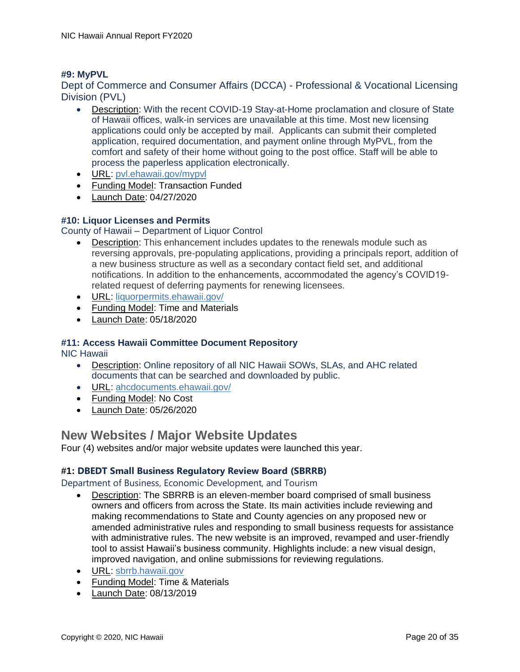#### **#9: MyPVL**

Dept of Commerce and Consumer Affairs (DCCA) - Professional & Vocational Licensing Division (PVL)

- Description: With the recent COVID-19 Stay-at-Home proclamation and closure of State of Hawaii offices, walk-in services are unavailable at this time. Most new licensing applications could only be accepted by mail. Applicants can submit their completed application, required documentation, and payment online through MyPVL, from the comfort and safety of their home without going to the post office. Staff will be able to process the paperless application electronically.
- URL: [pvl.ehawaii.gov/mypvl](http://pvl.ehawaii.gov/mypvl)
- Funding Model: Transaction Funded
- Launch Date: 04/27/2020

#### **#10: Liquor Licenses and Permits**

County of Hawaii – Department of Liquor Control

- Description: This enhancement includes updates to the renewals module such as reversing approvals, pre-populating applications, providing a principals report, addition of a new business structure as well as a secondary contact field set, and additional notifications. In addition to the enhancements, accommodated the agency's COVID19 related request of deferring payments for renewing licensees.
- URL: [liquorpermits.ehawaii.gov/](https://liquorpermits.ehawaii.gov/)
- Funding Model: Time and Materials
- Launch Date: 05/18/2020

#### **#11: Access Hawaii Committee Document Repository**

NIC Hawaii

- Description: Online repository of all NIC Hawaii SOWs, SLAs, and AHC related documents that can be searched and downloaded by public.
- URL: [ahcdocuments.ehawaii.gov/](https://ahcdocuments.ehawaii.gov/)
- Funding Model: No Cost
- Launch Date: 05/26/2020

#### <span id="page-23-0"></span>**New Websites / Major Website Updates**

Four (4) websites and/or major website updates were launched this year.

#### **#1: DBEDT Small Business Regulatory Review Board (SBRRB)**

Department of Business, Economic Development, and Tourism

- Description: The SBRRB is an eleven-member board comprised of small business owners and officers from across the State. Its main activities include reviewing and making recommendations to State and County agencies on any proposed new or amended administrative rules and responding to small business requests for assistance with administrative rules. The new website is an improved, revamped and user-friendly tool to assist Hawaii's business community. Highlights include: a new visual design, improved navigation, and online submissions for reviewing regulations.
- URL: [sbrrb.hawaii.gov](http://sbrrb.hawaii.gov/)
- Funding Model: Time & Materials
- Launch Date: 08/13/2019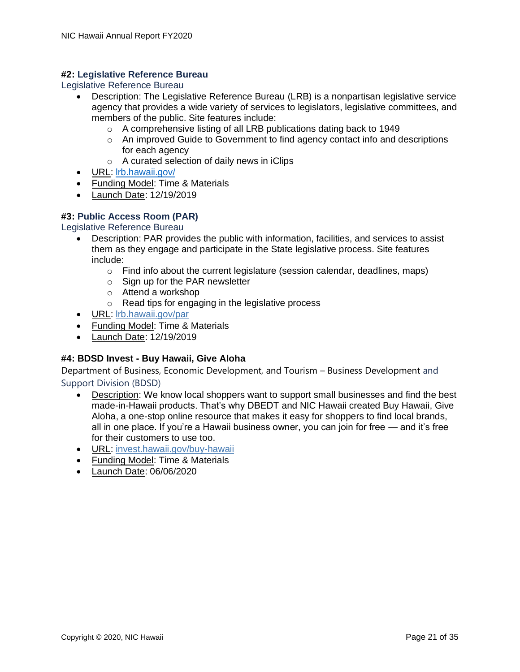#### **#2: Legislative Reference Bureau**

Legislative Reference Bureau

- Description: The Legislative Reference Bureau (LRB) is a nonpartisan legislative service agency that provides a wide variety of services to legislators, legislative committees, and members of the public. Site features include:
	- o A comprehensive listing of all LRB publications dating back to 1949
	- $\circ$  An improved Guide to Government to find agency contact info and descriptions for each agency
	- o A curated selection of daily news in iClips
- URL: [lrb.hawaii.gov/](https://lrb.hawaii.gov/)
- Funding Model: Time & Materials
- Launch Date: 12/19/2019

#### **#3: Public Access Room (PAR)**

Legislative Reference Bureau

- Description: PAR provides the public with information, facilities, and services to assist them as they engage and participate in the State legislative process. Site features include:
	- $\circ$  Find info about the current legislature (session calendar, deadlines, maps)
	- $\circ$  Sign up for the PAR newsletter
	- o Attend a workshop
	- o Read tips for engaging in the legislative process
- URL: [lrb.hawaii.gov/par](http://lrbhawaii.gov/par)
- Funding Model: Time & Materials
- Launch Date: 12/19/2019

#### **#4: BDSD Invest - Buy Hawaii, Give Aloha**

Department of Business, Economic Development, and Tourism – Business Development and Support Division (BDSD)

- Description: We know local shoppers want to support small businesses and find the best made-in-Hawaii products. That's why DBEDT and NIC Hawaii created Buy Hawaii, Give Aloha, a one-stop online resource that makes it easy for shoppers to find local brands, all in one place. If you're a Hawaii business owner, you can join for free — and it's free for their customers to use too.
- URL: [invest.hawaii.gov/buy-hawaii](https://invest.hawaii.gov/buy-hawaii)
- Funding Model: Time & Materials
- Launch Date: 06/06/2020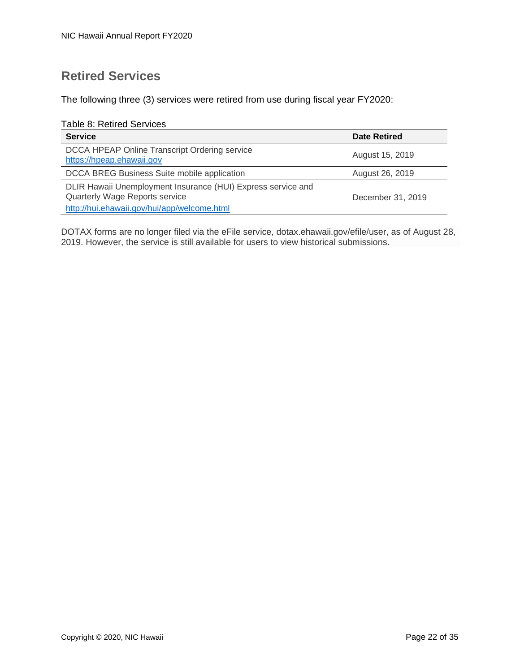### <span id="page-25-0"></span>**Retired Services**

The following three (3) services were retired from use during fiscal year FY2020:

Table 8: Retired Services

| <b>Service</b>                                                                                                                                | <b>Date Retired</b> |
|-----------------------------------------------------------------------------------------------------------------------------------------------|---------------------|
| DCCA HPEAP Online Transcript Ordering service<br>https://hpeap.ehawaii.gov                                                                    | August 15, 2019     |
| DCCA BREG Business Suite mobile application                                                                                                   | August 26, 2019     |
| DLIR Hawaii Unemployment Insurance (HUI) Express service and<br>Quarterly Wage Reports service<br>http://hui.ehawaii.gov/hui/app/welcome.html | December 31, 2019   |

DOTAX forms are no longer filed via the eFile service, dotax.ehawaii.gov/efile/user, as of August 28, 2019. However, the service is still available for users to view historical submissions.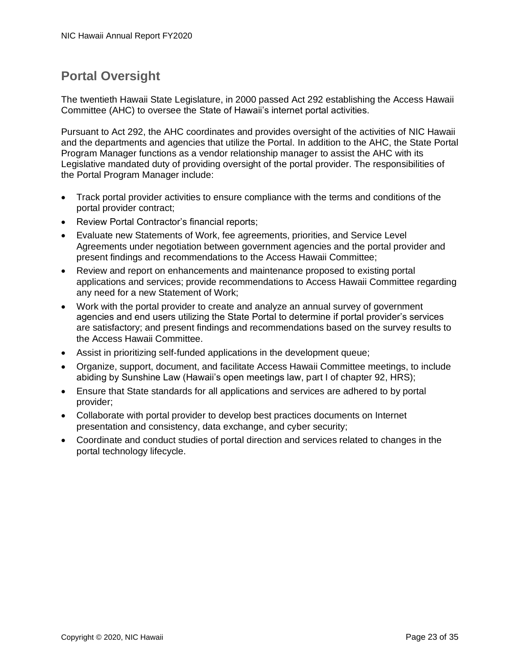### <span id="page-26-0"></span>**Portal Oversight**

The twentieth Hawaii State Legislature, in 2000 passed Act 292 establishing the Access Hawaii Committee (AHC) to oversee the State of Hawaii's internet portal activities.

Pursuant to Act 292, the AHC coordinates and provides oversight of the activities of NIC Hawaii and the departments and agencies that utilize the Portal. In addition to the AHC, the State Portal Program Manager functions as a vendor relationship manager to assist the AHC with its Legislative mandated duty of providing oversight of the portal provider. The responsibilities of the Portal Program Manager include:

- Track portal provider activities to ensure compliance with the terms and conditions of the portal provider contract;
- Review Portal Contractor's financial reports:
- Evaluate new Statements of Work, fee agreements, priorities, and Service Level Agreements under negotiation between government agencies and the portal provider and present findings and recommendations to the Access Hawaii Committee;
- Review and report on enhancements and maintenance proposed to existing portal applications and services; provide recommendations to Access Hawaii Committee regarding any need for a new Statement of Work;
- Work with the portal provider to create and analyze an annual survey of government agencies and end users utilizing the State Portal to determine if portal provider's services are satisfactory; and present findings and recommendations based on the survey results to the Access Hawaii Committee.
- Assist in prioritizing self-funded applications in the development queue;
- Organize, support, document, and facilitate Access Hawaii Committee meetings, to include abiding by Sunshine Law (Hawaii's open meetings law, part I of chapter 92, HRS);
- Ensure that State standards for all applications and services are adhered to by portal provider;
- Collaborate with portal provider to develop best practices documents on Internet presentation and consistency, data exchange, and cyber security;
- Coordinate and conduct studies of portal direction and services related to changes in the portal technology lifecycle.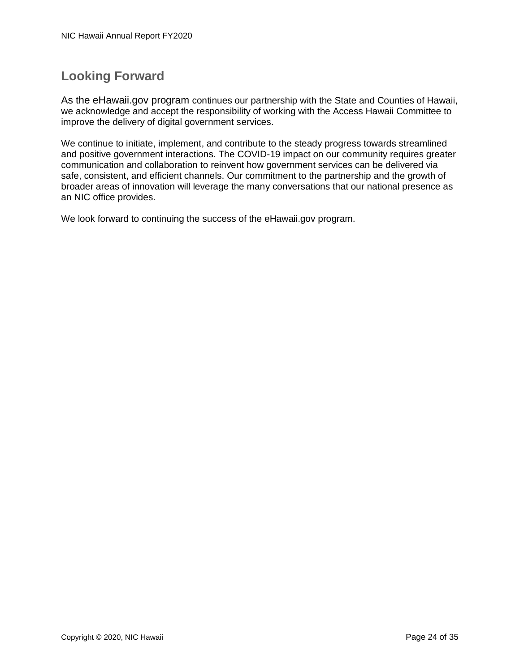### <span id="page-27-0"></span>**Looking Forward**

As the eHawaii.gov program continues our partnership with the State and Counties of Hawaii, we acknowledge and accept the responsibility of working with the Access Hawaii Committee to improve the delivery of digital government services.

We continue to initiate, implement, and contribute to the steady progress towards streamlined and positive government interactions. The COVID-19 impact on our community requires greater communication and collaboration to reinvent how government services can be delivered via safe, consistent, and efficient channels. Our commitment to the partnership and the growth of broader areas of innovation will leverage the many conversations that our national presence as an NIC office provides.

We look forward to continuing the success of the eHawaii.gov program.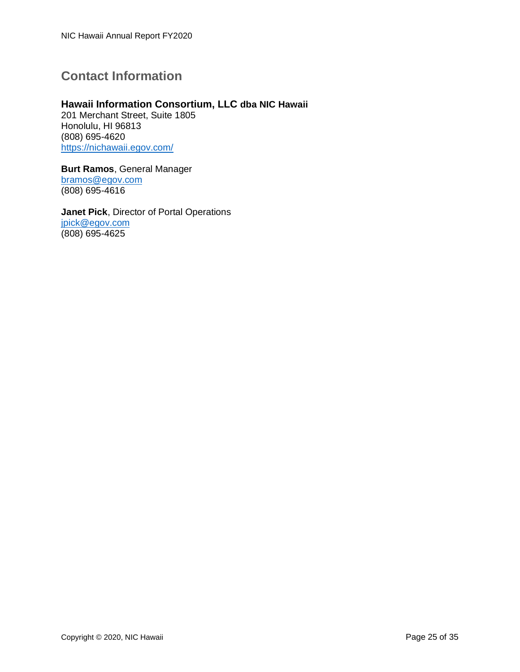### <span id="page-28-0"></span>**Contact Information**

#### **Hawaii Information Consortium, LLC dba NIC Hawaii**

201 Merchant Street, Suite 1805 Honolulu, HI 96813 (808) 695-4620 <https://nichawaii.egov.com/>

**Burt Ramos**, General Manager [bramos@egov.com](mailto:Bramos@egov.com) (808) 695-4616

**Janet Pick**, Director of Portal Operations [jpick@egov.com](mailto:jpick@egov.com) (808) 695-4625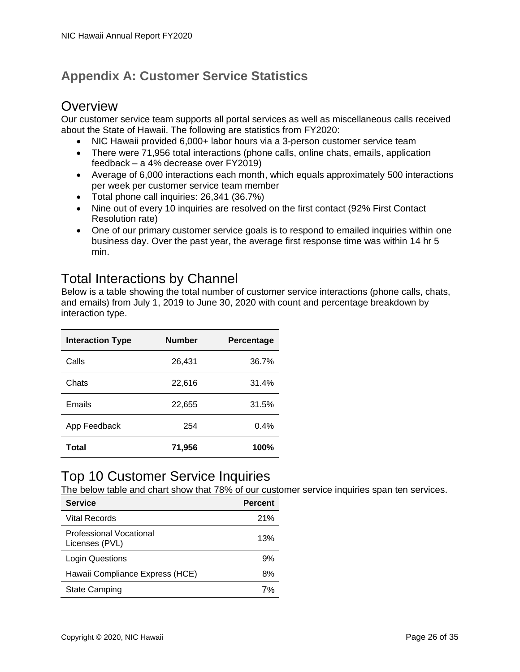### <span id="page-29-0"></span>**Appendix A: Customer Service Statistics**

### **Overview**

Our customer service team supports all portal services as well as miscellaneous calls received about the State of Hawaii. The following are statistics from FY2020:

- NIC Hawaii provided 6,000+ labor hours via a 3-person customer service team
- There were 71,956 total interactions (phone calls, online chats, emails, application feedback – a 4% decrease over FY2019)
- Average of 6,000 interactions each month, which equals approximately 500 interactions per week per customer service team member
- Total phone call inquiries: 26,341 (36.7%)
- Nine out of every 10 inquiries are resolved on the first contact (92% First Contact Resolution rate)
- One of our primary customer service goals is to respond to emailed inquiries within one business day. Over the past year, the average first response time was within 14 hr 5 min.

### Total Interactions by Channel

Below is a table showing the total number of customer service interactions (phone calls, chats, and emails) from July 1, 2019 to June 30, 2020 with count and percentage breakdown by interaction type.

| <b>Interaction Type</b> | <b>Number</b> | <b>Percentage</b> |
|-------------------------|---------------|-------------------|
| Calls                   | 26,431        | 36.7%             |
| Chats                   | 22,616        | 31.4%             |
| Emails                  | 22,655        | 31.5%             |
| App Feedback            | 254           | 0.4%              |
| Total                   | 71,956        | 100%              |

### Top 10 Customer Service Inquiries

The below table and chart show that 78% of our customer service inquiries span ten services.

| <b>Service</b>                            | <b>Percent</b> |
|-------------------------------------------|----------------|
| <b>Vital Records</b>                      | 21%            |
| Professional Vocational<br>Licenses (PVL) | 13%            |
| Login Questions                           | 9%             |
| Hawaii Compliance Express (HCE)           | 8%             |
| <b>State Camping</b>                      |                |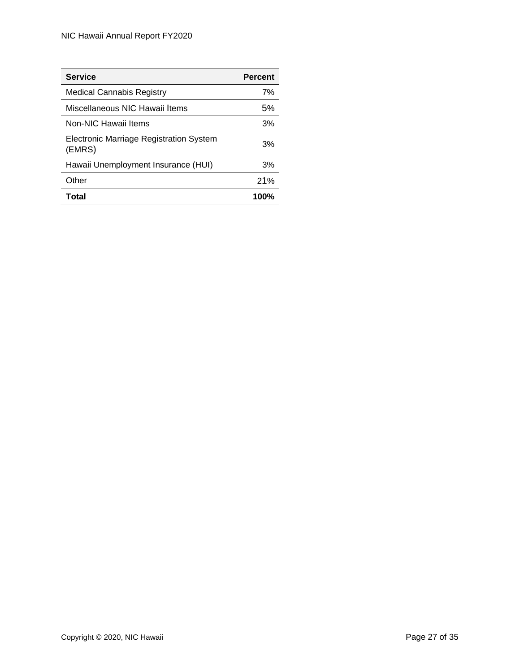| <b>Service</b>                                    | <b>Percent</b> |
|---------------------------------------------------|----------------|
| Medical Cannabis Registry                         | 7%             |
| Miscellaneous NIC Hawaii Items                    | .5%            |
| Non-NIC Hawaii Items                              | 3%             |
| Electronic Marriage Registration System<br>(EMRS) | 3%             |
| Hawaii Unemployment Insurance (HUI)               | 3%             |
| Other                                             | 21%            |
| Total                                             | 100%           |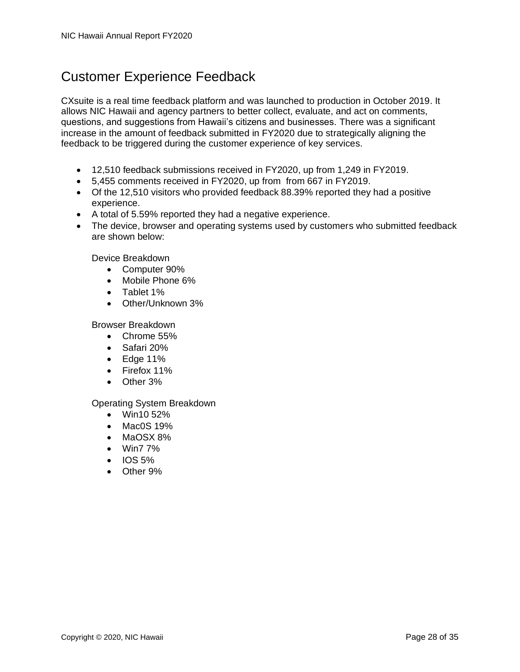### Customer Experience Feedback

CXsuite is a real time feedback platform and was launched to production in October 2019. It allows NIC Hawaii and agency partners to better collect, evaluate, and act on comments, questions, and suggestions from Hawaii's citizens and businesses. There was a significant increase in the amount of feedback submitted in FY2020 due to strategically aligning the feedback to be triggered during the customer experience of key services.

- 12,510 feedback submissions received in FY2020, up from 1,249 in FY2019.
- 5,455 comments received in FY2020, up from from 667 in FY2019.
- Of the 12,510 visitors who provided feedback 88.39% reported they had a positive experience.
- A total of 5.59% reported they had a negative experience.
- The device, browser and operating systems used by customers who submitted feedback are shown below:

Device Breakdown

- Computer 90%
- Mobile Phone 6%
- Tablet 1%
- Other/Unknown 3%

Browser Breakdown

- Chrome 55%
- Safari 20%
- Edge 11%
- Firefox 11%
- Other 3%

#### Operating System Breakdown

- Win10 52%
- Mac0S 19%
- MaOSX 8%
- Win7 7%
- $\bullet$  IOS 5%
- Other 9%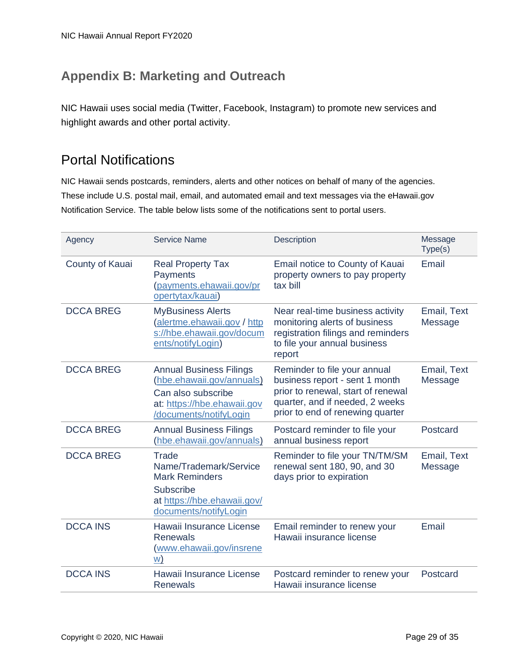### <span id="page-32-0"></span>**Appendix B: Marketing and Outreach**

NIC Hawaii uses social media (Twitter, Facebook, Instagram) to promote new services and highlight awards and other portal activity.

### Portal Notifications

NIC Hawaii sends postcards, reminders, alerts and other notices on behalf of many of the agencies. These include U.S. postal mail, email, and automated email and text messages via the eHawaii.gov Notification Service. The table below lists some of the notifications sent to portal users.

| Agency           | <b>Service Name</b>                                                                                                                        | Description                                                                                                                                                                 | Message<br>Type(s)     |
|------------------|--------------------------------------------------------------------------------------------------------------------------------------------|-----------------------------------------------------------------------------------------------------------------------------------------------------------------------------|------------------------|
| County of Kauai  | <b>Real Property Tax</b><br>Payments<br>(payments.ehawaii.gov/pr<br>opertytax/kauai)                                                       | Email notice to County of Kauai<br>property owners to pay property<br>tax bill                                                                                              | Email                  |
| <b>DCCA BREG</b> | <b>MyBusiness Alerts</b><br>(alertme.ehawaii.gov / http<br>s://hbe.ehawaii.gov/docum<br>ents/notifyLogin)                                  | Near real-time business activity<br>monitoring alerts of business<br>registration filings and reminders<br>to file your annual business<br>report                           | Email, Text<br>Message |
| <b>DCCA BREG</b> | <b>Annual Business Filings</b><br>(hbe.ehawaii.gov/annuals)<br>Can also subscribe<br>at: https://hbe.ehawaii.gov<br>/documents/notifyLogin | Reminder to file your annual<br>business report - sent 1 month<br>prior to renewal, start of renewal<br>quarter, and if needed, 2 weeks<br>prior to end of renewing quarter | Email, Text<br>Message |
| <b>DCCA BREG</b> | <b>Annual Business Filings</b><br>(hbe.ehawaii.gov/annuals)                                                                                | Postcard reminder to file your<br>annual business report                                                                                                                    | Postcard               |
| <b>DCCA BREG</b> | Trade<br>Name/Trademark/Service<br><b>Mark Reminders</b><br><b>Subscribe</b><br>at https://hbe.ehawaii.gov/<br>documents/notifyLogin       | Reminder to file your TN/TM/SM<br>renewal sent 180, 90, and 30<br>days prior to expiration                                                                                  | Email, Text<br>Message |
| <b>DCCA INS</b>  | Hawaii Insurance License<br>Renewals<br>(www.ehawaii.gov/insrene<br><u>w)</u>                                                              | Email reminder to renew your<br>Hawaii insurance license                                                                                                                    | Email                  |
| <b>DCCA INS</b>  | Hawaii Insurance License<br><b>Renewals</b>                                                                                                | Postcard reminder to renew your<br>Hawaii insurance license                                                                                                                 | Postcard               |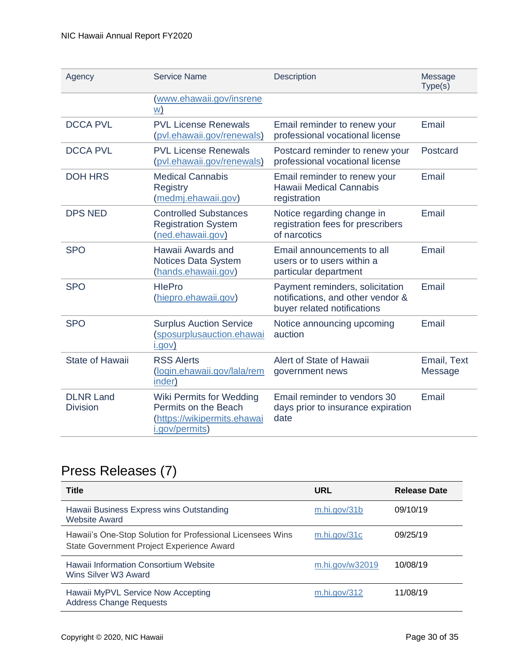| Agency                              | <b>Service Name</b>                                                                               | Description                                                                                         | Message<br>Type(s)     |
|-------------------------------------|---------------------------------------------------------------------------------------------------|-----------------------------------------------------------------------------------------------------|------------------------|
|                                     | (www.ehawaii.gov/insrene<br>W)                                                                    |                                                                                                     |                        |
| <b>DCCA PVL</b>                     | <b>PVL License Renewals</b><br>(pvl.ehawaii.gov/renewals)                                         | Email reminder to renew your<br>professional vocational license                                     | Email                  |
| <b>DCCA PVL</b>                     | <b>PVL License Renewals</b><br>(pvl.ehawaii.gov/renewals)                                         | Postcard reminder to renew your<br>professional vocational license                                  | Postcard               |
| <b>DOH HRS</b>                      | <b>Medical Cannabis</b><br>Registry<br>(medmj.ehawaii.gov)                                        | Email reminder to renew your<br>Hawaii Medical Cannabis<br>registration                             | Email                  |
| <b>DPS NED</b>                      | <b>Controlled Substances</b><br><b>Registration System</b><br>(ned.ehawaii.gov)                   | Notice regarding change in<br>registration fees for prescribers<br>of narcotics                     | Email                  |
| <b>SPO</b>                          | Hawaii Awards and<br><b>Notices Data System</b><br>(hands.ehawaii.gov)                            | Email announcements to all<br>users or to users within a<br>particular department                   | Email                  |
| <b>SPO</b>                          | <b>HlePro</b><br>(hiepro.ehawaii.gov)                                                             | Payment reminders, solicitation<br>notifications, and other vendor &<br>buyer related notifications | Email                  |
| <b>SPO</b>                          | <b>Surplus Auction Service</b><br>(sposurplusauction.ehawai<br>i.gov)                             | Notice announcing upcoming<br>auction                                                               | Email                  |
| <b>State of Hawaii</b>              | <b>RSS Alerts</b><br>(login.ehawaii.gov/lala/rem<br>inder)                                        | Alert of State of Hawaii<br>government news                                                         | Email, Text<br>Message |
| <b>DLNR Land</b><br><b>Division</b> | Wiki Permits for Wedding<br>Permits on the Beach<br>(https://wikipermits.ehawai<br>i.gov/permits) | Email reminder to vendors 30<br>days prior to insurance expiration<br>date                          | Email                  |

### Press Releases (7)

| <b>Title</b>                                                                                            | URL             | Release Date |
|---------------------------------------------------------------------------------------------------------|-----------------|--------------|
| Hawaii Business Express wins Outstanding<br><b>Website Award</b>                                        | m.hi.gov/31b    | 09/10/19     |
| Hawaii's One-Stop Solution for Professional Licensees Wins<br>State Government Project Experience Award | m.hi.gov/31c    | 09/25/19     |
| Hawaii Information Consortium Website<br>Wins Silver W3 Award                                           | m.hi.gov/w32019 | 10/08/19     |
| Hawaii MyPVL Service Now Accepting<br><b>Address Change Requests</b>                                    | m.hi.gov/312    | 11/08/19     |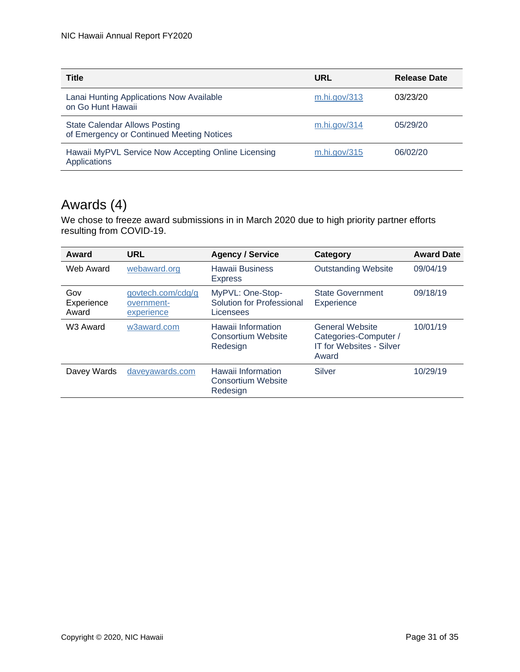| <b>Title</b>                                                                      | URL          | <b>Release Date</b> |
|-----------------------------------------------------------------------------------|--------------|---------------------|
| Lanai Hunting Applications Now Available<br>on Go Hunt Hawaii                     | m.hi.gov/313 | 03/23/20            |
| <b>State Calendar Allows Posting</b><br>of Emergency or Continued Meeting Notices | m.hi.gov/314 | 05/29/20            |
| Hawaii MyPVL Service Now Accepting Online Licensing<br>Applications               | m.hi.gov/315 | 06/02/20            |

### Awards (4)

We chose to freeze award submissions in in March 2020 due to high priority partner efforts resulting from COVID-19.

| Award                      | <b>URL</b>                                    | <b>Agency / Service</b>                                     | Category                                                                                    | <b>Award Date</b> |
|----------------------------|-----------------------------------------------|-------------------------------------------------------------|---------------------------------------------------------------------------------------------|-------------------|
| Web Award                  | webaward.org                                  | <b>Hawaii Business</b><br><b>Express</b>                    | <b>Outstanding Website</b>                                                                  | 09/04/19          |
| Gov<br>Experience<br>Award | govtech.com/cdg/g<br>overnment-<br>experience | MyPVL: One-Stop-<br>Solution for Professional<br>Licensees  | <b>State Government</b><br>Experience                                                       | 09/18/19          |
| W <sub>3</sub> Award       | w3award.com                                   | Hawaii Information<br>Consortium Website<br>Redesign        | <b>General Website</b><br>Categories-Computer /<br><b>IT for Websites - Silver</b><br>Award | 10/01/19          |
| Davey Wards                | daveyawards.com                               | Hawaii Information<br><b>Consortium Website</b><br>Redesign | Silver                                                                                      | 10/29/19          |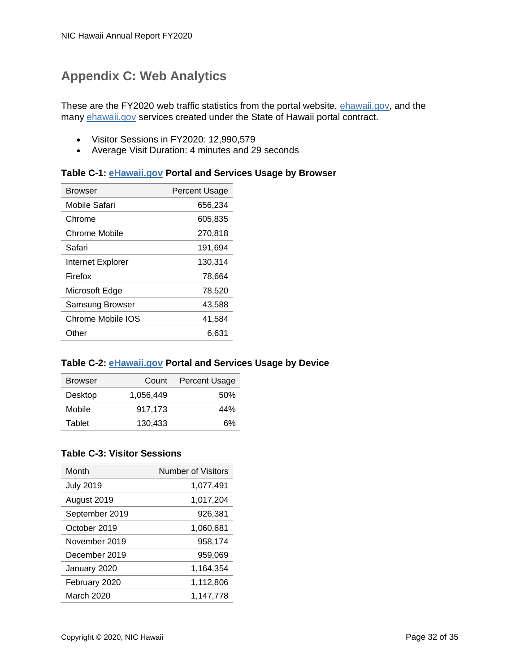### <span id="page-35-0"></span>**Appendix C: Web Analytics**

These are the FY2020 web traffic statistics from the portal website, [ehawaii.gov,](http://ehawaii.gov/) and the many [ehawaii.gov](http://ehawaii.gov/) services created under the State of Hawaii portal contract.

- Visitor Sessions in FY2020: 12,990,579
- Average Visit Duration: 4 minutes and 29 seconds

#### **Table C-1: [eHawaii.gov](http://ehawaii.gov/) Portal and Services Usage by Browser**

| Browser           | <b>Percent Usage</b> |
|-------------------|----------------------|
| Mobile Safari     | 656,234              |
| Chrome            | 605,835              |
| Chrome Mobile     | 270,818              |
| Safari            | 191,694              |
| Internet Explorer | 130,314              |
| Firefox           | 78,664               |
| Microsoft Edge    | 78,520               |
| Samsung Browser   | 43,588               |
| Chrome Mobile IOS | 41,584               |
| Other             | 6.631                |
|                   |                      |

#### **Table C-2: [eHawaii.gov](http://ehawaii.gov/) Portal and Services Usage by Device**

| <b>Browser</b> | Count     | <b>Percent Usage</b> |
|----------------|-----------|----------------------|
| Desktop        | 1.056.449 | .50%                 |
| Mobile         | 917.173   | 44%                  |
| Tablet         | 130.433   | 6%                   |

#### **Table C-3: Visitor Sessions**

| Month            | <b>Number of Visitors</b> |
|------------------|---------------------------|
| <b>July 2019</b> | 1,077,491                 |
| August 2019      | 1,017,204                 |
| September 2019   | 926,381                   |
| October 2019     | 1,060,681                 |
| November 2019    | 958.174                   |
| December 2019    | 959,069                   |
| January 2020     | 1,164,354                 |
| February 2020    | 1,112,806                 |
| March 2020       | 1,147,778                 |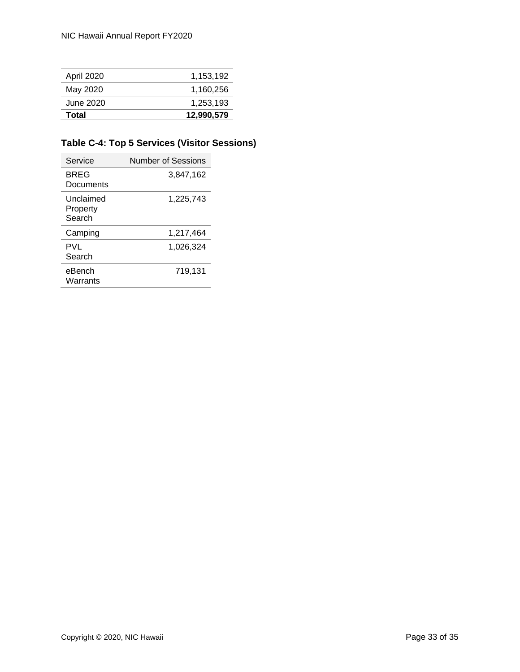| Total      | 12,990,579 |
|------------|------------|
| June 2020  | 1.253.193  |
| May 2020   | 1,160,256  |
| April 2020 | 1.153.192  |

#### **Table C-4: Top 5 Services (Visitor Sessions)**

| Service                         | Number of Sessions |
|---------------------------------|--------------------|
| BREG<br>Documents               | 3,847,162          |
| Unclaimed<br>Property<br>Search | 1,225,743          |
| Camping                         | 1,217,464          |
| PVL<br>Search                   | 1,026,324          |
| eBench<br>Warrants              | 719,131            |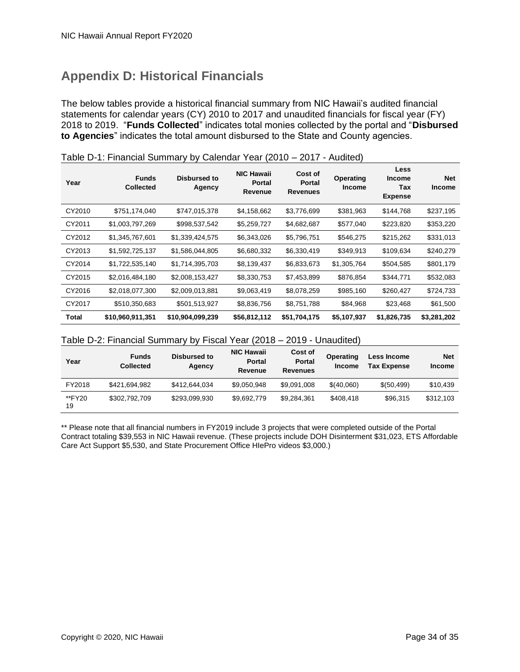### <span id="page-37-0"></span>**Appendix D: Historical Financials**

The below tables provide a historical financial summary from NIC Hawaii's audited financial statements for calendar years (CY) 2010 to 2017 and unaudited financials for fiscal year (FY) 2018 to 2019. "**Funds Collected**" indicates total monies collected by the portal and "**Disbursed to Agencies**" indicates the total amount disbursed to the State and County agencies.

| Year   | <b>Funds</b><br><b>Collected</b> | Disbursed to<br>Agency | <b>NIC Hawaii</b><br><b>Portal</b><br>Revenue | Cost of<br>Portal<br><b>Revenues</b> | Operating<br><b>Income</b> | Less<br><b>Income</b><br>Tax<br><b>Expense</b> | <b>Net</b><br><b>Income</b> |
|--------|----------------------------------|------------------------|-----------------------------------------------|--------------------------------------|----------------------------|------------------------------------------------|-----------------------------|
| CY2010 | \$751,174,040                    | \$747,015,378          | \$4,158,662                                   | \$3,776,699                          | \$381,963                  | \$144,768                                      | \$237,195                   |
| CY2011 | \$1,003,797,269                  | \$998,537,542          | \$5,259,727                                   | \$4,682,687                          | \$577,040                  | \$223,820                                      | \$353,220                   |
| CY2012 | \$1,345,767,601                  | \$1,339,424,575        | \$6,343,026                                   | \$5,796,751                          | \$546,275                  | \$215,262                                      | \$331,013                   |
| CY2013 | \$1,592,725,137                  | \$1,586,044,805        | \$6,680,332                                   | \$6,330,419                          | \$349,913                  | \$109,634                                      | \$240,279                   |
| CY2014 | \$1,722,535,140                  | \$1,714,395,703        | \$8,139,437                                   | \$6,833,673                          | \$1,305,764                | \$504,585                                      | \$801,179                   |
| CY2015 | \$2,016,484,180                  | \$2,008,153,427        | \$8,330,753                                   | \$7,453,899                          | \$876,854                  | \$344,771                                      | \$532,083                   |
| CY2016 | \$2,018,077,300                  | \$2,009,013,881        | \$9,063,419                                   | \$8,078,259                          | \$985,160                  | \$260,427                                      | \$724,733                   |
| CY2017 | \$510,350,683                    | \$501,513,927          | \$8,836,756                                   | \$8,751,788                          | \$84,968                   | \$23,468                                       | \$61,500                    |
| Total  | \$10,960,911,351                 | \$10,904,099,239       | \$56,812,112                                  | \$51,704,175                         | \$5,107,937                | \$1,826,735                                    | \$3,281,202                 |

|  | Table D-1: Financial Summary by Calendar Year (2010 - 2017 - Audited) |
|--|-----------------------------------------------------------------------|
|--|-----------------------------------------------------------------------|

#### Table D-2: Financial Summary by Fiscal Year (2018 – 2019 - Unaudited)

| Year         | <b>Funds</b><br><b>Collected</b> | Disbursed to<br>Agency | <b>NIC Hawaii</b><br><b>Portal</b><br>Revenue | Cost of<br><b>Portal</b><br><b>Revenues</b> | <b>Operating</b><br><b>Income</b> | Less Income<br><b>Tax Expense</b> | <b>Net</b><br><b>Income</b> |
|--------------|----------------------------------|------------------------|-----------------------------------------------|---------------------------------------------|-----------------------------------|-----------------------------------|-----------------------------|
| FY2018       | \$421.694.982                    | \$412,644,034          | \$9.050.948                                   | \$9,091,008                                 | \$(40,060)                        | \$ (50, 499)                      | \$10,439                    |
| **FY20<br>19 | \$302,792,709                    | \$293,099,930          | \$9,692,779                                   | \$9,284,361                                 | \$408,418                         | \$96,315                          | \$312,103                   |

<span id="page-37-1"></span>\*\* Please note that all financial numbers in FY2019 include 3 projects that were completed outside of the Portal Contract totaling \$39,553 in NIC Hawaii revenue. (These projects include DOH Disinterment \$31,023, ETS Affordable Care Act Support \$5,530, and State Procurement Office HIePro videos \$3,000.)